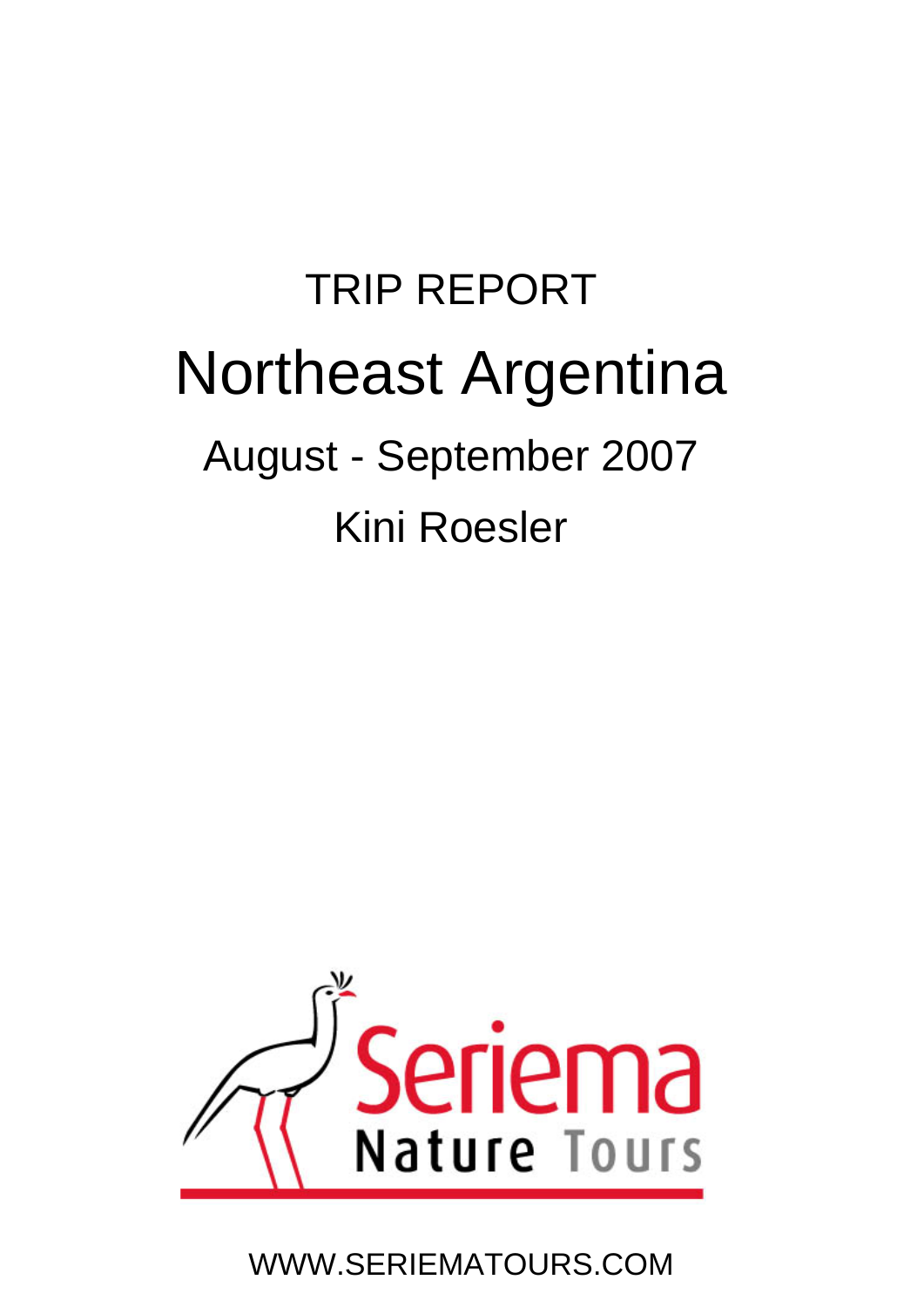# TRIP REPORT Northeast Argentina August - September 2007 Kini Roesler



WWW.SERIEMATOURS.COM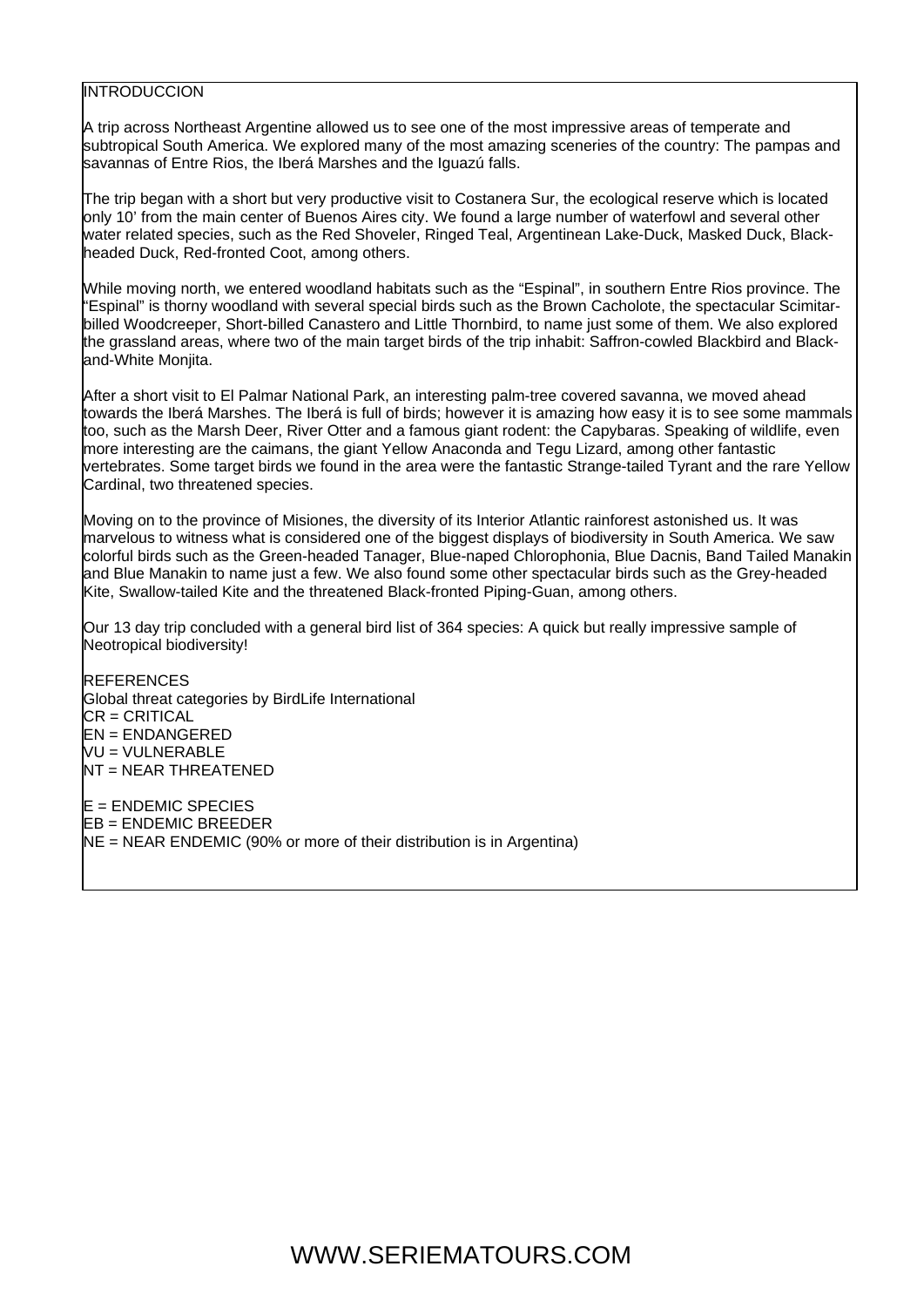#### **INTRODUCCION**

A trip across Northeast Argentine allowed us to see one of the most impressive areas of temperate and subtropical South America. We explored many of the most amazing sceneries of the country: The pampas and savannas of Entre Rios, the Iberá Marshes and the Iguazú falls.

The trip began with a short but very productive visit to Costanera Sur, the ecological reserve which is located only 10' from the main center of Buenos Aires city. We found a large number of waterfowl and several other water related species, such as the Red Shoveler, Ringed Teal, Argentinean Lake-Duck, Masked Duck, Blackheaded Duck, Red-fronted Coot, among others.

While moving north, we entered woodland habitats such as the "Espinal", in southern Entre Rios province. The "Espinal" is thorny woodland with several special birds such as the Brown Cacholote, the spectacular Scimitarbilled Woodcreeper, Short-billed Canastero and Little Thornbird, to name just some of them. We also explored the grassland areas, where two of the main target birds of the trip inhabit: Saffron-cowled Blackbird and Blackand-White Monjita.

After a short visit to El Palmar National Park, an interesting palm-tree covered savanna, we moved ahead towards the Iberá Marshes. The Iberá is full of birds; however it is amazing how easy it is to see some mammals too, such as the Marsh Deer, River Otter and a famous giant rodent: the Capybaras. Speaking of wildlife, even more interesting are the caimans, the giant Yellow Anaconda and Tegu Lizard, among other fantastic vertebrates. Some target birds we found in the area were the fantastic Strange-tailed Tyrant and the rare Yellow Cardinal, two threatened species.

Moving on to the province of Misiones, the diversity of its Interior Atlantic rainforest astonished us. It was marvelous to witness what is considered one of the biggest displays of biodiversity in South America. We saw colorful birds such as the Green-headed Tanager, Blue-naped Chlorophonia, Blue Dacnis, Band Tailed Manakin and Blue Manakin to name just a few. We also found some other spectacular birds such as the Grey-headed Kite, Swallow-tailed Kite and the threatened Black-fronted Piping-Guan, among others.

Our 13 day trip concluded with a general bird list of 364 species: A quick but really impressive sample of Neotropical biodiversity!

REFERENCES Global threat categories by BirdLife International CR = CRITICAL EN = ENDANGERED VU = VULNERABLE NT = NEAR THREATENED E = ENDEMIC SPECIES EB = ENDEMIC BREEDER NE = NEAR ENDEMIC (90% or more of their distribution is in Argentina)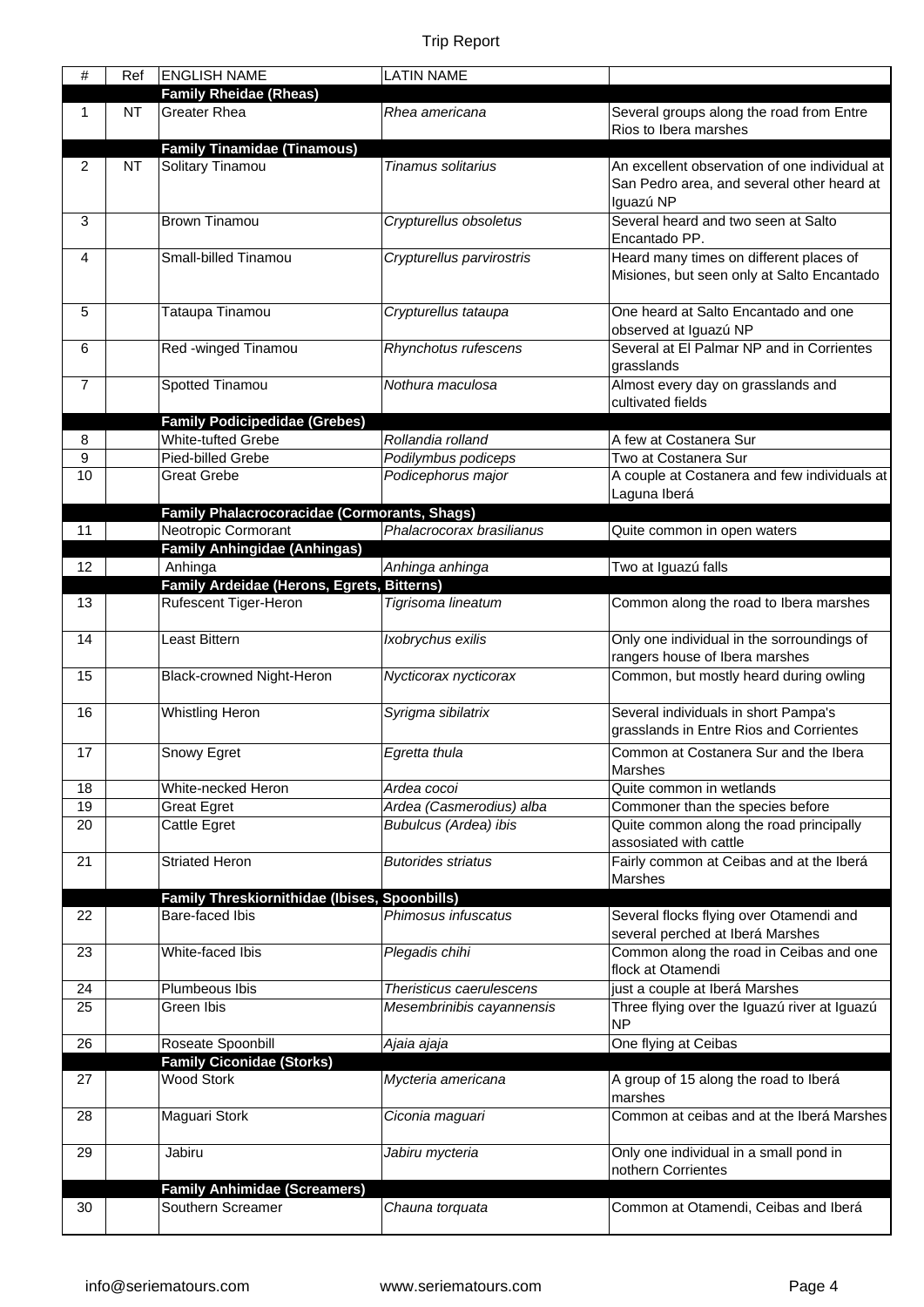| #        | Ref       | <b>ENGLISH NAME</b>                                               | <b>LATIN NAME</b>                       |                                                              |
|----------|-----------|-------------------------------------------------------------------|-----------------------------------------|--------------------------------------------------------------|
|          |           | <b>Family Rheidae (Rheas)</b>                                     |                                         |                                                              |
| 1        | <b>NT</b> | <b>Greater Rhea</b>                                               | Rhea americana                          | Several groups along the road from Entre                     |
|          |           |                                                                   |                                         | Rios to Ibera marshes                                        |
|          |           | <b>Family Tinamidae (Tinamous)</b>                                |                                         |                                                              |
| 2        | <b>NT</b> | Solitary Tinamou                                                  | Tinamus solitarius                      | An excellent observation of one individual at                |
|          |           |                                                                   |                                         | San Pedro area, and several other heard at<br>Iguazú NP      |
| 3        |           | <b>Brown Tinamou</b>                                              | Crypturellus obsoletus                  | Several heard and two seen at Salto                          |
|          |           |                                                                   |                                         | Encantado PP.                                                |
| 4        |           | Small-billed Tinamou                                              | Crypturellus parvirostris               | Heard many times on different places of                      |
|          |           |                                                                   |                                         | Misiones, but seen only at Salto Encantado                   |
|          |           |                                                                   |                                         |                                                              |
| 5        |           | Tataupa Tinamou                                                   | Crypturellus tataupa                    | One heard at Salto Encantado and one                         |
|          |           |                                                                   |                                         | observed at Iguazú NP                                        |
| 6        |           | Red -winged Tinamou                                               | Rhynchotus rufescens                    | Several at El Palmar NP and in Corrientes                    |
|          |           |                                                                   |                                         | grasslands                                                   |
| 7        |           | Spotted Tinamou                                                   | Nothura maculosa                        | Almost every day on grasslands and                           |
|          |           |                                                                   |                                         | cultivated fields                                            |
| 8        |           | <b>Family Podicipedidae (Grebes)</b><br><b>White-tufted Grebe</b> | Rollandia rolland                       | A few at Costanera Sur                                       |
| 9        |           | Pied-billed Grebe                                                 | Podilymbus podiceps                     | Two at Costanera Sur                                         |
| 10       |           | <b>Great Grebe</b>                                                | Podicephorus major                      | A couple at Costanera and few individuals at                 |
|          |           |                                                                   |                                         | Laguna Iberá                                                 |
|          |           | <b>Family Phalacrocoracidae (Cormorants, Shags)</b>               |                                         |                                                              |
| 11       |           | Neotropic Cormorant                                               | Phalacrocorax brasilianus               | Quite common in open waters                                  |
|          |           | <b>Family Anhingidae (Anhingas)</b>                               |                                         |                                                              |
| 12       |           | Anhinga                                                           | Anhinga anhinga                         | Two at Iguazú falls                                          |
|          |           | Family Ardeidae (Herons, Egrets, Bitterns)                        |                                         |                                                              |
| 13       |           | Rufescent Tiger-Heron                                             | Tigrisoma lineatum                      | Common along the road to Ibera marshes                       |
| 14       |           | Least Bittern                                                     | Ixobrychus exilis                       | Only one individual in the sorroundings of                   |
|          |           |                                                                   |                                         | rangers house of Ibera marshes                               |
| 15       |           | Black-crowned Night-Heron                                         | Nycticorax nycticorax                   | Common, but mostly heard during owling                       |
|          |           |                                                                   |                                         |                                                              |
| 16       |           | <b>Whistling Heron</b>                                            | Syrigma sibilatrix                      | Several individuals in short Pampa's                         |
|          |           |                                                                   |                                         | grasslands in Entre Rios and Corrientes                      |
| 17       |           | Snowy Egret                                                       | Egretta thula                           | Common at Costanera Sur and the Ibera                        |
|          |           |                                                                   |                                         | Marshes                                                      |
| 18<br>19 |           | White-necked Heron                                                | Ardea cocoi<br>Ardea (Casmerodius) alba | Quite common in wetlands<br>Commoner than the species before |
| 20       |           | <b>Great Egret</b><br>Cattle Egret                                | <b>Bubulcus (Ardea) ibis</b>            | Quite common along the road principally                      |
|          |           |                                                                   |                                         | assosiated with cattle                                       |
| 21       |           | <b>Striated Heron</b>                                             | <b>Butorides striatus</b>               | Fairly common at Ceibas and at the Iberá                     |
|          |           |                                                                   |                                         | Marshes                                                      |
|          |           | Family Threskiornithidae (Ibises, Spoonbills)                     |                                         |                                                              |
| 22       |           | Bare-faced Ibis                                                   | Phimosus infuscatus                     | Several flocks flying over Otamendi and                      |
|          |           |                                                                   |                                         | several perched at Iberá Marshes                             |
| 23       |           | White-faced Ibis                                                  | Plegadis chihi                          | Common along the road in Ceibas and one<br>flock at Otamendi |
| 24       |           | Plumbeous Ibis                                                    | Theristicus caerulescens                | just a couple at Iberá Marshes                               |
| 25       |           | Green Ibis                                                        | Mesembrinibis cayannensis               | Three flying over the Iguazú river at Iguazú                 |
|          |           |                                                                   |                                         | <b>NP</b>                                                    |
| 26       |           | Roseate Spoonbill                                                 | Ajaia ajaja                             | One flying at Ceibas                                         |
|          |           | <b>Family Ciconidae (Storks)</b>                                  |                                         |                                                              |
| 27       |           | <b>Wood Stork</b>                                                 | Mycteria americana                      | A group of 15 along the road to Iberá                        |
| 28       |           |                                                                   | Ciconia maguari                         | marshes<br>Common at ceibas and at the Iberá Marshes         |
|          |           | Maguari Stork                                                     |                                         |                                                              |
| 29       |           | Jabiru                                                            | Jabiru mycteria                         | Only one individual in a small pond in                       |
|          |           |                                                                   |                                         | nothern Corrientes                                           |
|          |           | <b>Family Anhimidae (Screamers)</b>                               |                                         |                                                              |
| 30       |           | Southern Screamer                                                 | Chauna torquata                         | Common at Otamendi, Ceibas and Iberá                         |
|          |           |                                                                   |                                         |                                                              |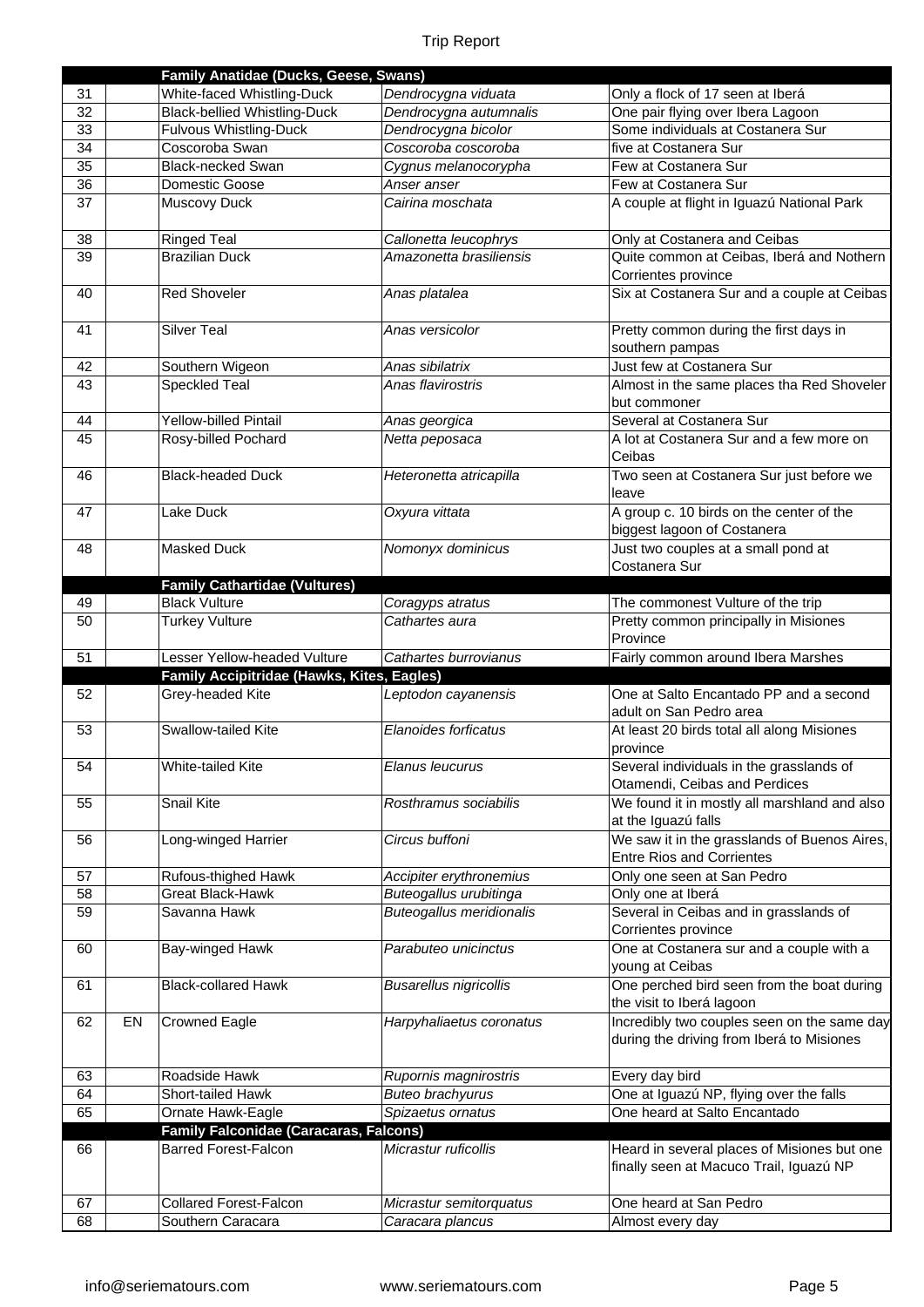|          |    | Family Anatidae (Ducks, Geese, Swans)          |                                                   |                                                                                          |
|----------|----|------------------------------------------------|---------------------------------------------------|------------------------------------------------------------------------------------------|
| 31       |    | White-faced Whistling-Duck                     | Dendrocygna viduata                               | Only a flock of 17 seen at Iberá                                                         |
| 32       |    | <b>Black-bellied Whistling-Duck</b>            | Dendrocygna autumnalis                            | One pair flying over Ibera Lagoon                                                        |
| 33       |    | <b>Fulvous Whistling-Duck</b>                  | Dendrocygna bicolor                               | Some individuals at Costanera Sur                                                        |
| 34       |    | Coscoroba Swan                                 | Coscoroba coscoroba                               | five at Costanera Sur                                                                    |
| 35       |    | <b>Black-necked Swan</b>                       | Cygnus melanocorypha                              | Few at Costanera Sur                                                                     |
| 36       |    | Domestic Goose                                 | Anser anser                                       | Few at Costanera Sur                                                                     |
| 37       |    | Muscovy Duck                                   | Cairina moschata                                  | A couple at flight in Iguazú National Park                                               |
| 38       |    | <b>Ringed Teal</b>                             | Callonetta leucophrys                             | Only at Costanera and Ceibas                                                             |
| 39       |    | <b>Brazilian Duck</b>                          | Amazonetta brasiliensis                           | Quite common at Ceibas, Iberá and Nothern                                                |
|          |    |                                                |                                                   | Corrientes province                                                                      |
| 40       |    | <b>Red Shoveler</b>                            | Anas platalea                                     | Six at Costanera Sur and a couple at Ceibas                                              |
| 41       |    | <b>Silver Teal</b>                             | Anas versicolor                                   | Pretty common during the first days in<br>southern pampas                                |
| 42       |    | Southern Wigeon                                | Anas sibilatrix                                   | Just few at Costanera Sur                                                                |
| 43       |    | <b>Speckled Teal</b>                           | Anas flavirostris                                 | Almost in the same places tha Red Shoveler<br>but commoner                               |
| 44       |    | Yellow-billed Pintail                          | Anas georgica                                     | Several at Costanera Sur                                                                 |
| 45       |    | Rosy-billed Pochard                            | Netta peposaca                                    | A lot at Costanera Sur and a few more on                                                 |
|          |    |                                                |                                                   | Ceibas                                                                                   |
| 46       |    | <b>Black-headed Duck</b>                       | Heteronetta atricapilla                           | Two seen at Costanera Sur just before we<br>leave                                        |
| 47       |    | Lake Duck                                      | Oxyura vittata                                    | A group c. 10 birds on the center of the                                                 |
|          |    |                                                |                                                   | biggest lagoon of Costanera                                                              |
| 48       |    | <b>Masked Duck</b>                             | Nomonyx dominicus                                 | Just two couples at a small pond at<br>Costanera Sur                                     |
|          |    | <b>Family Cathartidae (Vultures)</b>           |                                                   |                                                                                          |
| 49       |    | <b>Black Vulture</b>                           | Coragyps atratus                                  | The commonest Vulture of the trip                                                        |
| 50       |    | <b>Turkey Vulture</b>                          | Cathartes aura                                    | Pretty common principally in Misiones<br>Province                                        |
|          |    |                                                |                                                   |                                                                                          |
| 51       |    | Lesser Yellow-headed Vulture                   | Cathartes burrovianus                             | Fairly common around Ibera Marshes                                                       |
|          |    | Family Accipitridae (Hawks, Kites, Eagles)     |                                                   |                                                                                          |
| 52       |    | Grey-headed Kite                               | Leptodon cayanensis                               | One at Salto Encantado PP and a second<br>adult on San Pedro area                        |
| 53       |    | Swallow-tailed Kite                            | Elanoides forficatus                              | At least 20 birds total all along Misiones                                               |
| 54       |    | <b>White-tailed Kite</b>                       | Elanus leucurus                                   | province<br>Several individuals in the grasslands of                                     |
| 55       |    | Snail Kite                                     | Rosthramus sociabilis                             | Otamendi, Ceibas and Perdices<br>We found it in mostly all marshland and also            |
|          |    |                                                |                                                   | at the Iguazú falls                                                                      |
| 56       |    | Long-winged Harrier                            | Circus buffoni                                    | We saw it in the grasslands of Buenos Aires,                                             |
|          |    |                                                |                                                   | <b>Entre Rios and Corrientes</b>                                                         |
| 57<br>58 |    | Rufous-thighed Hawk<br><b>Great Black-Hawk</b> | Accipiter erythronemius<br>Buteogallus urubitinga | Only one seen at San Pedro                                                               |
| 59       |    | Savanna Hawk                                   | <b>Buteogallus meridionalis</b>                   | Only one at Iberá<br>Several in Ceibas and in grasslands of                              |
| 60       |    | Bay-winged Hawk                                | Parabuteo unicinctus                              | Corrientes province<br>One at Costanera sur and a couple with a                          |
| 61       |    | <b>Black-collared Hawk</b>                     | <b>Busarellus nigricollis</b>                     | young at Ceibas<br>One perched bird seen from the boat during                            |
|          |    |                                                |                                                   | the visit to Iberá lagoon                                                                |
| 62       | EN | <b>Crowned Eagle</b>                           | Harpyhaliaetus coronatus                          | Incredibly two couples seen on the same day<br>during the driving from Iberá to Misiones |
| 63       |    | Roadside Hawk                                  | Rupornis magnirostris                             | Every day bird                                                                           |
| 64       |    | Short-tailed Hawk                              | <b>Buteo brachyurus</b>                           | One at Iguazú NP, flying over the falls                                                  |
| 65       |    | Ornate Hawk-Eagle                              | Spizaetus ornatus                                 | One heard at Salto Encantado                                                             |
|          |    | <b>Family Falconidae (Caracaras, Falcons)</b>  |                                                   |                                                                                          |
| 66       |    | <b>Barred Forest-Falcon</b>                    | Micrastur ruficollis                              | Heard in several places of Misiones but one<br>finally seen at Macuco Trail, Iguazú NP   |
| 67       |    | <b>Collared Forest-Falcon</b>                  | Micrastur semitorquatus                           | One heard at San Pedro                                                                   |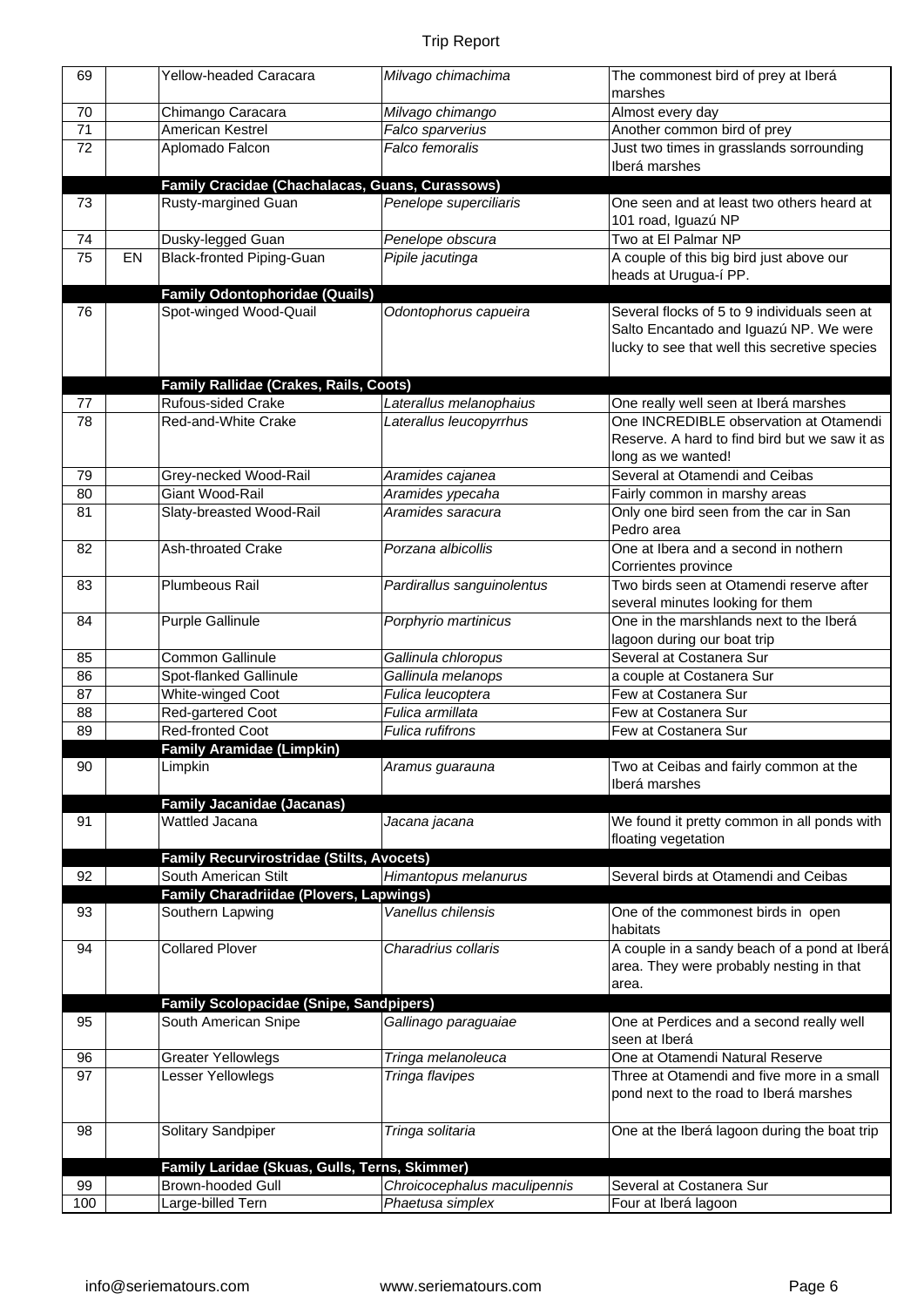| 69  |    | <b>Yellow-headed Caracara</b>                                   | Milvago chimachima           | The commonest bird of prey at Iberá           |
|-----|----|-----------------------------------------------------------------|------------------------------|-----------------------------------------------|
|     |    |                                                                 |                              | marshes                                       |
| 70  |    | Chimango Caracara                                               | Milvago chimango             | Almost every day                              |
| 71  |    | American Kestrel                                                | Falco sparverius             | Another common bird of prey                   |
| 72  |    | Aplomado Falcon                                                 | Falco femoralis              | Just two times in grasslands sorrounding      |
|     |    |                                                                 |                              | Iberá marshes                                 |
|     |    | Family Cracidae (Chachalacas, Guans, Curassows)                 |                              |                                               |
| 73  |    | Rusty-margined Guan                                             | Penelope superciliaris       | One seen and at least two others heard at     |
|     |    |                                                                 |                              | 101 road, Iguazú NP                           |
| 74  |    | Dusky-legged Guan                                               | Penelope obscura             | Two at El Palmar NP                           |
| 75  | EN | Black-fronted Piping-Guan                                       | Pipile jacutinga             | A couple of this big bird just above our      |
|     |    |                                                                 |                              | heads at Urugua-í PP.                         |
| 76  |    | <b>Family Odontophoridae (Quails)</b><br>Spot-winged Wood-Quail |                              | Several flocks of 5 to 9 individuals seen at  |
|     |    |                                                                 | Odontophorus capueira        | Salto Encantado and Iguazú NP. We were        |
|     |    |                                                                 |                              | lucky to see that well this secretive species |
|     |    |                                                                 |                              |                                               |
|     |    | Family Rallidae (Crakes, Rails, Coots)                          |                              |                                               |
| 77  |    | Rufous-sided Crake                                              | Laterallus melanophaius      | One really well seen at Iberá marshes         |
| 78  |    | Red-and-White Crake                                             | Laterallus leucopyrrhus      | One INCREDIBLE observation at Otamendi        |
|     |    |                                                                 |                              | Reserve. A hard to find bird but we saw it as |
|     |    |                                                                 |                              | long as we wanted!                            |
| 79  |    | Grey-necked Wood-Rail                                           | Aramides cajanea             | Several at Otamendi and Ceibas                |
| 80  |    | Giant Wood-Rail                                                 | Aramides ypecaha             | Fairly common in marshy areas                 |
| 81  |    | Slaty-breasted Wood-Rail                                        | Aramides saracura            | Only one bird seen from the car in San        |
|     |    |                                                                 |                              | Pedro area                                    |
| 82  |    | Ash-throated Crake                                              | Porzana albicollis           | One at Ibera and a second in nothern          |
|     |    |                                                                 |                              | Corrientes province                           |
| 83  |    | Plumbeous Rail                                                  | Pardirallus sanguinolentus   | Two birds seen at Otamendi reserve after      |
|     |    |                                                                 |                              | several minutes looking for them              |
| 84  |    | Purple Gallinule                                                | Porphyrio martinicus         | One in the marshlands next to the Iberá       |
|     |    |                                                                 |                              | lagoon during our boat trip                   |
| 85  |    | <b>Common Gallinule</b>                                         | Gallinula chloropus          | Several at Costanera Sur                      |
| 86  |    | Spot-flanked Gallinule                                          | Gallinula melanops           | a couple at Costanera Sur                     |
| 87  |    | White-winged Coot                                               | Fulica leucoptera            | Few at Costanera Sur                          |
| 88  |    | Red-gartered Coot                                               | Fulica armillata             | Few at Costanera Sur                          |
| 89  |    | <b>Red-fronted Coot</b>                                         | <b>Fulica rufifrons</b>      | Few at Costanera Sur                          |
|     |    | <b>Family Aramidae (Limpkin)</b>                                |                              |                                               |
| 90  |    | Limpkin                                                         | Aramus guarauna              | Two at Ceibas and fairly common at the        |
|     |    |                                                                 |                              | Iberá marshes                                 |
|     |    | <b>Family Jacanidae (Jacanas)</b><br>Wattled Jacana             |                              | We found it pretty common in all ponds with   |
| 91  |    |                                                                 | Jacana jacana                | floating vegetation                           |
|     |    | <b>Family Recurvirostridae (Stilts, Avocets)</b>                |                              |                                               |
| 92  |    | South American Stilt                                            | Himantopus melanurus         | Several birds at Otamendi and Ceibas          |
|     |    | <b>Family Charadriidae (Plovers, Lapwings)</b>                  |                              |                                               |
| 93  |    | Southern Lapwing                                                | Vanellus chilensis           | One of the commonest birds in open            |
|     |    |                                                                 |                              | habitats                                      |
| 94  |    | <b>Collared Plover</b>                                          | Charadrius collaris          | A couple in a sandy beach of a pond at Iberá  |
|     |    |                                                                 |                              | area. They were probably nesting in that      |
|     |    |                                                                 |                              | area.                                         |
|     |    | <b>Family Scolopacidae (Snipe, Sandpipers)</b>                  |                              |                                               |
| 95  |    | South American Snipe                                            | Gallinago paraguaiae         | One at Perdices and a second really well      |
|     |    |                                                                 |                              | seen at Iberá                                 |
| 96  |    | <b>Greater Yellowlegs</b>                                       | Tringa melanoleuca           | One at Otamendi Natural Reserve               |
| 97  |    | Lesser Yellowlegs                                               | Tringa flavipes              | Three at Otamendi and five more in a small    |
|     |    |                                                                 |                              | pond next to the road to Iberá marshes        |
|     |    |                                                                 |                              |                                               |
| 98  |    | Solitary Sandpiper                                              | Tringa solitaria             | One at the Iberá lagoon during the boat trip  |
|     |    |                                                                 |                              |                                               |
|     |    | Family Laridae (Skuas, Gulls, Terns, Skimmer)                   |                              |                                               |
| 99  |    | <b>Brown-hooded Gull</b>                                        | Chroicocephalus maculipennis | Several at Costanera Sur                      |
| 100 |    | Large-billed Tern                                               | Phaetusa simplex             | Four at Iberá lagoon                          |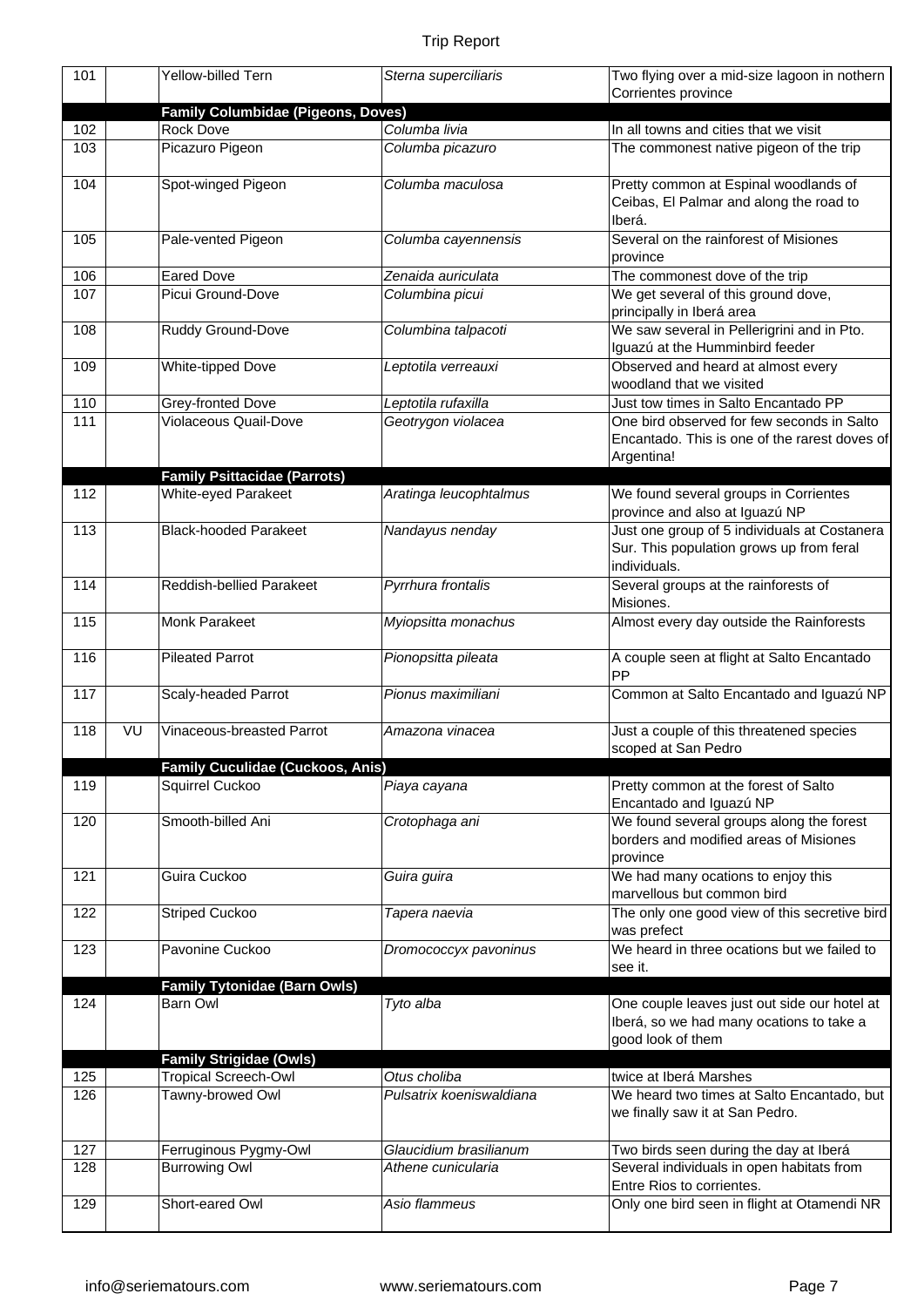| 101        |    | Yellow-billed Tern                                                | Sterna superciliaris                     | Two flying over a mid-size lagoon in nothern<br>Corrientes province                                           |
|------------|----|-------------------------------------------------------------------|------------------------------------------|---------------------------------------------------------------------------------------------------------------|
|            |    | <b>Family Columbidae (Pigeons, Doves)</b>                         |                                          |                                                                                                               |
| 102        |    | Rock Dove                                                         | Columba livia                            | In all towns and cities that we visit                                                                         |
| 103        |    | Picazuro Pigeon                                                   | Columba picazuro                         | The commonest native pigeon of the trip                                                                       |
| 104        |    | Spot-winged Pigeon                                                | Columba maculosa                         | Pretty common at Espinal woodlands of<br>Ceibas, El Palmar and along the road to<br>Iberá.                    |
| 105        |    | Pale-vented Pigeon                                                | Columba cayennensis                      | Several on the rainforest of Misiones<br>province                                                             |
| 106        |    | <b>Eared Dove</b>                                                 | Zenaida auriculata                       | The commonest dove of the trip                                                                                |
| 107        |    | Picui Ground-Dove                                                 | Columbina picui                          | We get several of this ground dove,<br>principally in Iberá area                                              |
| 108        |    | Ruddy Ground-Dove                                                 | Columbina talpacoti                      | We saw several in Pellerigrini and in Pto.<br>Iguazú at the Humminbird feeder                                 |
| 109        |    | White-tipped Dove                                                 | Leptotila verreauxi                      | Observed and heard at almost every<br>woodland that we visited                                                |
| 110        |    | Grey-fronted Dove                                                 | Leptotila rufaxilla                      | Just tow times in Salto Encantado PP                                                                          |
| 111        |    | <b>Violaceous Quail-Dove</b>                                      | Geotrygon violacea                       | One bird observed for few seconds in Salto<br>Encantado. This is one of the rarest doves of<br>Argentina!     |
| 112        |    | <b>Family Psittacidae (Parrots)</b><br><b>White-eyed Parakeet</b> |                                          | We found several groups in Corrientes                                                                         |
|            |    |                                                                   | Aratinga leucophtalmus                   | province and also at Iguazú NP                                                                                |
| 113        |    | <b>Black-hooded Parakeet</b>                                      | Nandayus nenday                          | Just one group of 5 individuals at Costanera<br>Sur. This population grows up from feral<br>individuals.      |
| 114        |    | Reddish-bellied Parakeet                                          | Pyrrhura frontalis                       | Several groups at the rainforests of<br>Misiones.                                                             |
| 115        |    | Monk Parakeet                                                     | Myiopsitta monachus                      | Almost every day outside the Rainforests                                                                      |
| 116        |    | <b>Pileated Parrot</b>                                            | Pionopsitta pileata                      | A couple seen at flight at Salto Encantado<br>PP                                                              |
| 117        |    | Scaly-headed Parrot                                               | Pionus maximiliani                       | Common at Salto Encantado and Iguazú NP                                                                       |
| 118        | VU | Vinaceous-breasted Parrot                                         | Amazona vinacea                          | Just a couple of this threatened species<br>scoped at San Pedro                                               |
|            |    | Family Cuculidae (Cuckoos, Anis)                                  |                                          |                                                                                                               |
| 119        |    | Squirrel Cuckoo                                                   | Piaya cayana                             | Pretty common at the forest of Salto<br>Encantado and Iguazú NP                                               |
| 120        |    | Smooth-billed Ani                                                 | Crotophaga ani                           | We found several groups along the forest<br>borders and modified areas of Misiones<br>province                |
| 121        |    | Guira Cuckoo                                                      | Guira guira                              | We had many ocations to enjoy this<br>marvellous but common bird                                              |
| 122        |    | <b>Striped Cuckoo</b>                                             | Tapera naevia                            | The only one good view of this secretive bird<br>was prefect                                                  |
| 123        |    | Pavonine Cuckoo                                                   | Dromococcyx pavoninus                    | We heard in three ocations but we failed to<br>see it.                                                        |
|            |    | <b>Family Tytonidae (Barn Owls)</b>                               |                                          |                                                                                                               |
| 124        |    | <b>Barn Owl</b>                                                   | Tyto alba                                | One couple leaves just out side our hotel at<br>Iberá, so we had many ocations to take a<br>good look of them |
|            |    | <b>Family Strigidae (Owls)</b>                                    |                                          |                                                                                                               |
| 125<br>126 |    | <b>Tropical Screech-Owl</b><br>Tawny-browed Owl                   | Otus choliba<br>Pulsatrix koeniswaldiana | twice at Iberá Marshes<br>We heard two times at Salto Encantado, but<br>we finally saw it at San Pedro.       |
| 127        |    | Ferruginous Pygmy-Owl                                             | Glaucidium brasilianum                   | Two birds seen during the day at Iberá                                                                        |
| 128        |    | <b>Burrowing Owl</b>                                              | Athene cunicularia                       | Several individuals in open habitats from<br>Entre Rios to corrientes.                                        |
| 129        |    | Short-eared Owl                                                   | Asio flammeus                            | Only one bird seen in flight at Otamendi NR                                                                   |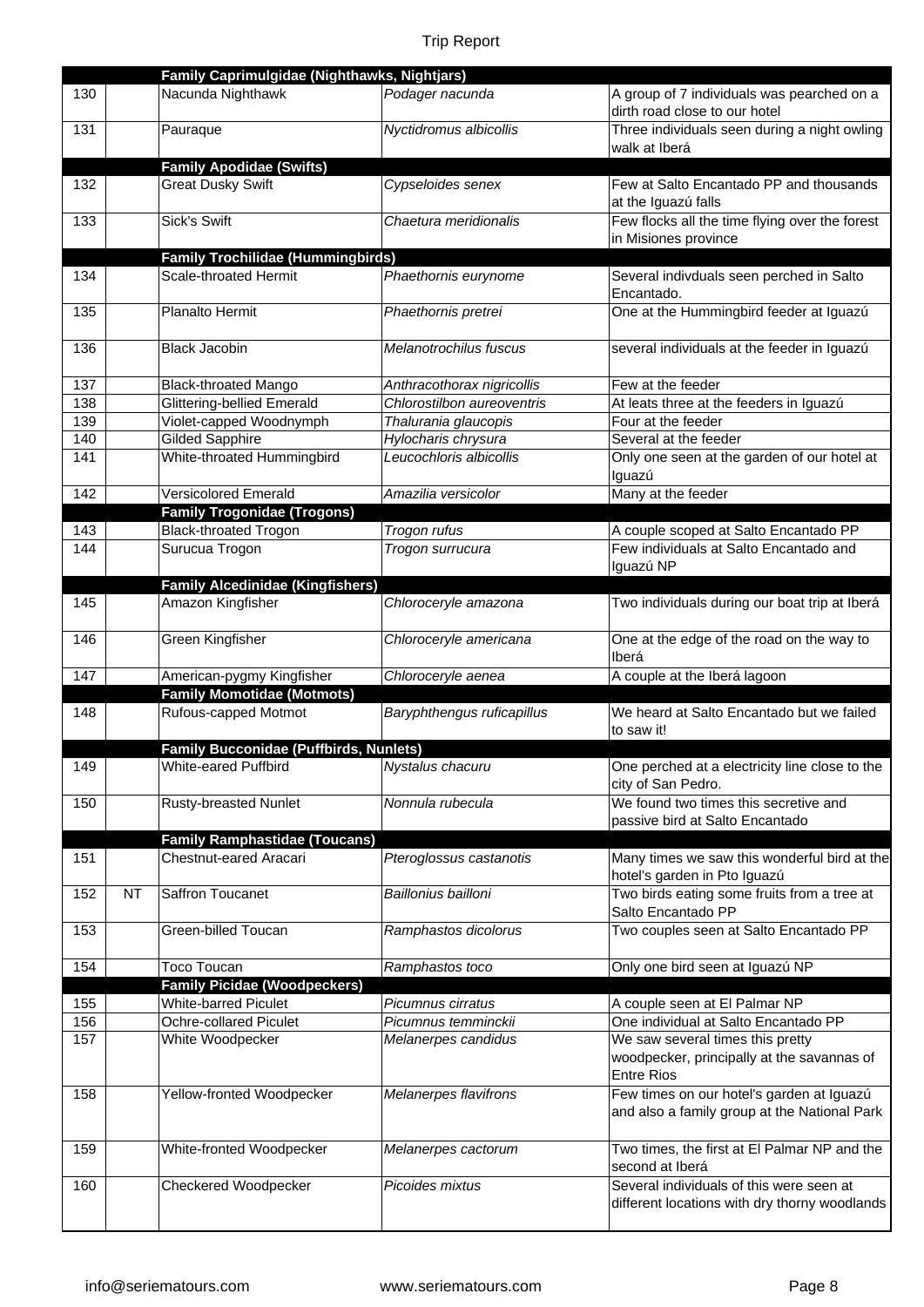|     |    | Family Caprimulgidae (Nighthawks, Nightjars)  |                            |                                                |
|-----|----|-----------------------------------------------|----------------------------|------------------------------------------------|
| 130 |    | Nacunda Nighthawk                             | Podager nacunda            | A group of 7 individuals was pearched on a     |
|     |    |                                               |                            | dirth road close to our hotel                  |
| 131 |    | Pauraque                                      | Nyctidromus albicollis     | Three individuals seen during a night owling   |
|     |    |                                               |                            | walk at Iberá                                  |
|     |    | <b>Family Apodidae (Swifts)</b>               |                            |                                                |
| 132 |    | <b>Great Dusky Swift</b>                      | Cypseloides senex          | Few at Salto Encantado PP and thousands        |
|     |    |                                               |                            | at the Iguazú falls                            |
| 133 |    | <b>Sick's Swift</b>                           | Chaetura meridionalis      | Few flocks all the time flying over the forest |
|     |    |                                               |                            | in Misiones province                           |
|     |    | <b>Family Trochilidae (Hummingbirds)</b>      |                            |                                                |
| 134 |    | Scale-throated Hermit                         | Phaethornis eurynome       | Several indivduals seen perched in Salto       |
|     |    |                                               |                            | Encantado.                                     |
| 135 |    | Planalto Hermit                               | Phaethornis pretrei        | One at the Hummingbird feeder at Iguazú        |
|     |    |                                               |                            |                                                |
| 136 |    | <b>Black Jacobin</b>                          | Melanotrochilus fuscus     | several individuals at the feeder in Iguazú    |
|     |    |                                               |                            |                                                |
| 137 |    | <b>Black-throated Mango</b>                   | Anthracothorax nigricollis | Few at the feeder                              |
| 138 |    | <b>Glittering-bellied Emerald</b>             | Chlorostilbon aureoventris | At leats three at the feeders in Iguazú        |
| 139 |    | Violet-capped Woodnymph                       | Thalurania glaucopis       | Four at the feeder                             |
| 140 |    | <b>Gilded Sapphire</b>                        | Hylocharis chrysura        | Several at the feeder                          |
| 141 |    | White-throated Hummingbird                    | Leucochloris albicollis    | Only one seen at the garden of our hotel at    |
|     |    |                                               |                            | Iguazú                                         |
| 142 |    | <b>Versicolored Emerald</b>                   | Amazilia versicolor        | Many at the feeder                             |
|     |    | <b>Family Trogonidae (Trogons)</b>            |                            |                                                |
| 143 |    | <b>Black-throated Trogon</b>                  | Trogon rufus               | A couple scoped at Salto Encantado PP          |
| 144 |    | Surucua Trogon                                | Trogon surrucura           | Few individuals at Salto Encantado and         |
|     |    |                                               |                            | Iguazú NP                                      |
|     |    | <b>Family Alcedinidae (Kingfishers)</b>       |                            |                                                |
| 145 |    | Amazon Kingfisher                             | Chloroceryle amazona       | Two individuals during our boat trip at Iberá  |
|     |    |                                               |                            |                                                |
| 146 |    | Green Kingfisher                              | Chloroceryle americana     | One at the edge of the road on the way to      |
|     |    |                                               |                            |                                                |
|     |    |                                               |                            | Iberá                                          |
| 147 |    | American-pygmy Kingfisher                     | Chloroceryle aenea         | A couple at the Iberá lagoon                   |
|     |    | <b>Family Momotidae (Motmots)</b>             |                            |                                                |
| 148 |    | Rufous-capped Motmot                          | Baryphthengus ruficapillus | We heard at Salto Encantado but we failed      |
|     |    |                                               |                            | to saw it!                                     |
|     |    | <b>Family Bucconidae (Puffbirds, Nunlets)</b> |                            |                                                |
| 149 |    | White-eared Puffbird                          | Nystalus chacuru           | One perched at a electricity line close to the |
|     |    |                                               |                            | city of San Pedro.                             |
| 150 |    | <b>Rusty-breasted Nunlet</b>                  | Nonnula rubecula           | We found two times this secretive and          |
|     |    |                                               |                            | passive bird at Salto Encantado                |
|     |    | <b>Family Ramphastidae (Toucans)</b>          |                            |                                                |
| 151 |    | Chestnut-eared Aracari                        | Pteroglossus castanotis    | Many times we saw this wonderful bird at the   |
|     |    |                                               |                            | hotel's garden in Pto Iguazú                   |
| 152 | NT | Saffron Toucanet                              | Baillonius bailloni        | Two birds eating some fruits from a tree at    |
|     |    |                                               |                            | Salto Encantado PP                             |
| 153 |    | Green-billed Toucan                           | Ramphastos dicolorus       | Two couples seen at Salto Encantado PP         |
|     |    |                                               |                            |                                                |
| 154 |    | <b>Toco Toucan</b>                            | Ramphastos toco            | Only one bird seen at Iguazú NP                |
|     |    | <b>Family Picidae (Woodpeckers)</b>           |                            |                                                |
| 155 |    | <b>White-barred Piculet</b>                   | Picumnus cirratus          | A couple seen at El Palmar NP                  |
| 156 |    | Ochre-collared Piculet                        | Picumnus temminckii        | One individual at Salto Encantado PP           |
| 157 |    | White Woodpecker                              | Melanerpes candidus        | We saw several times this pretty               |
|     |    |                                               |                            | woodpecker, principally at the savannas of     |
|     |    |                                               |                            | <b>Entre Rios</b>                              |
| 158 |    | Yellow-fronted Woodpecker                     | Melanerpes flavifrons      | Few times on our hotel's garden at Iguazú      |
|     |    |                                               |                            | and also a family group at the National Park   |
|     |    |                                               |                            |                                                |
| 159 |    | White-fronted Woodpecker                      | Melanerpes cactorum        | Two times, the first at El Palmar NP and the   |
|     |    |                                               |                            | second at Iberá                                |
| 160 |    | Checkered Woodpecker                          | Picoides mixtus            | Several individuals of this were seen at       |
|     |    |                                               |                            | different locations with dry thorny woodlands  |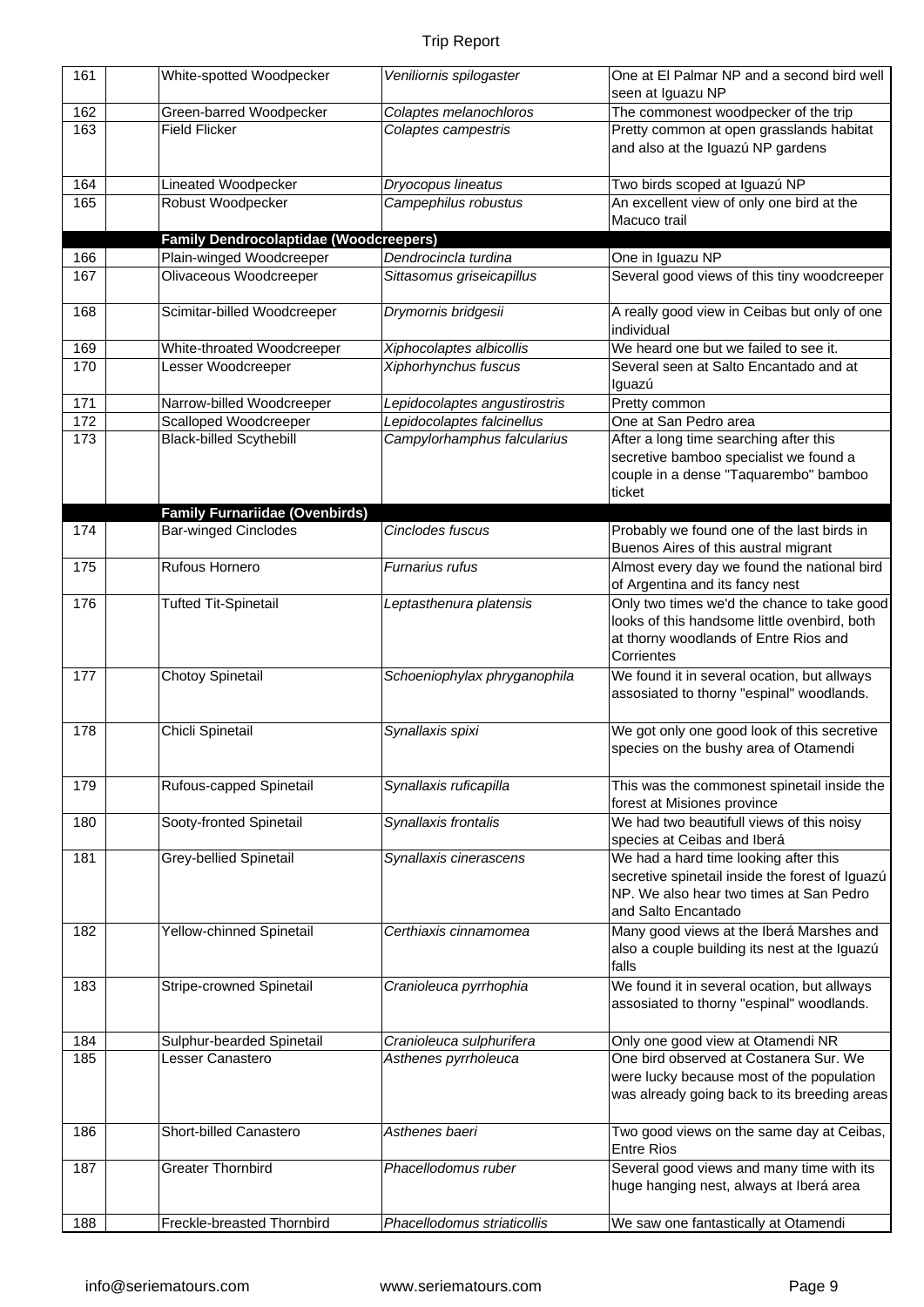| 161 | White-spotted Woodpecker                      | Veniliornis spilogaster       | One at El Palmar NP and a second bird well<br>seen at Iguazu NP                                                                                            |
|-----|-----------------------------------------------|-------------------------------|------------------------------------------------------------------------------------------------------------------------------------------------------------|
| 162 | Green-barred Woodpecker                       | Colaptes melanochloros        | The commonest woodpecker of the trip                                                                                                                       |
| 163 | <b>Field Flicker</b>                          | Colaptes campestris           | Pretty common at open grasslands habitat<br>and also at the Iguazú NP gardens                                                                              |
| 164 | Lineated Woodpecker                           | Dryocopus lineatus            | Two birds scoped at Iguazú NP                                                                                                                              |
| 165 | Robust Woodpecker                             | Campephilus robustus          | An excellent view of only one bird at the<br>Macuco trail                                                                                                  |
|     | <b>Family Dendrocolaptidae (Woodcreepers)</b> |                               |                                                                                                                                                            |
| 166 | Plain-winged Woodcreeper                      | Dendrocincla turdina          | One in Iguazu NP                                                                                                                                           |
| 167 | Olivaceous Woodcreeper                        | Sittasomus griseicapillus     | Several good views of this tiny woodcreeper                                                                                                                |
| 168 | Scimitar-billed Woodcreeper                   | Drymornis bridgesii           | A really good view in Ceibas but only of one<br>individual                                                                                                 |
| 169 | White-throated Woodcreeper                    | Xiphocolaptes albicollis      | We heard one but we failed to see it.                                                                                                                      |
| 170 | Lesser Woodcreeper                            | Xiphorhynchus fuscus          | Several seen at Salto Encantado and at<br>Iguazú                                                                                                           |
| 171 | Narrow-billed Woodcreeper                     | Lepidocolaptes angustirostris | Pretty common                                                                                                                                              |
| 172 | Scalloped Woodcreeper                         | Lepidocolaptes falcinellus    | One at San Pedro area                                                                                                                                      |
| 173 | <b>Black-billed Scythebill</b>                | Campylorhamphus falcularius   | After a long time searching after this<br>secretive bamboo specialist we found a<br>couple in a dense "Taquarembo" bamboo<br>ticket                        |
|     | <b>Family Furnariidae (Ovenbirds)</b>         |                               |                                                                                                                                                            |
| 174 | <b>Bar-winged Cinclodes</b>                   | Cinclodes fuscus              | Probably we found one of the last birds in<br>Buenos Aires of this austral migrant                                                                         |
| 175 | Rufous Hornero                                | Furnarius rufus               | Almost every day we found the national bird<br>of Argentina and its fancy nest                                                                             |
| 176 | <b>Tufted Tit-Spinetail</b>                   | Leptasthenura platensis       | Only two times we'd the chance to take good<br>looks of this handsome little ovenbird, both<br>at thorny woodlands of Entre Rios and<br>Corrientes         |
| 177 | Chotoy Spinetail                              | Schoeniophylax phryganophila  | We found it in several ocation, but allways<br>assosiated to thorny "espinal" woodlands.                                                                   |
| 178 | Chicli Spinetail                              | Synallaxis spixi              | We got only one good look of this secretive<br>species on the bushy area of Otamendi                                                                       |
| 179 | Rufous-capped Spinetail                       | Synallaxis ruficapilla        | This was the commonest spinetail inside the<br>forest at Misiones province                                                                                 |
| 180 | Sooty-fronted Spinetail                       | Synallaxis frontalis          | We had two beautifull views of this noisy<br>species at Ceibas and Iberá                                                                                   |
| 181 | <b>Grey-bellied Spinetail</b>                 | Synallaxis cinerascens        | We had a hard time looking after this<br>secretive spinetail inside the forest of Iguazú<br>NP. We also hear two times at San Pedro<br>and Salto Encantado |
| 182 | Yellow-chinned Spinetail                      | Certhiaxis cinnamomea         | Many good views at the Iberá Marshes and<br>also a couple building its nest at the Iguazú<br>falls                                                         |
| 183 | Stripe-crowned Spinetail                      | Cranioleuca pyrrhophia        | We found it in several ocation, but allways<br>assosiated to thorny "espinal" woodlands.                                                                   |
| 184 | Sulphur-bearded Spinetail                     | Cranioleuca sulphurifera      | Only one good view at Otamendi NR                                                                                                                          |
| 185 | Lesser Canastero                              | Asthenes pyrrholeuca          | One bird observed at Costanera Sur. We<br>were lucky because most of the population<br>was already going back to its breeding areas                        |
| 186 | Short-billed Canastero                        | Asthenes baeri                | Two good views on the same day at Ceibas,<br><b>Entre Rios</b>                                                                                             |
| 187 | <b>Greater Thornbird</b>                      | Phacellodomus ruber           | Several good views and many time with its<br>huge hanging nest, always at Iberá area                                                                       |
| 188 | Freckle-breasted Thornbird                    | Phacellodomus striaticollis   | We saw one fantastically at Otamendi                                                                                                                       |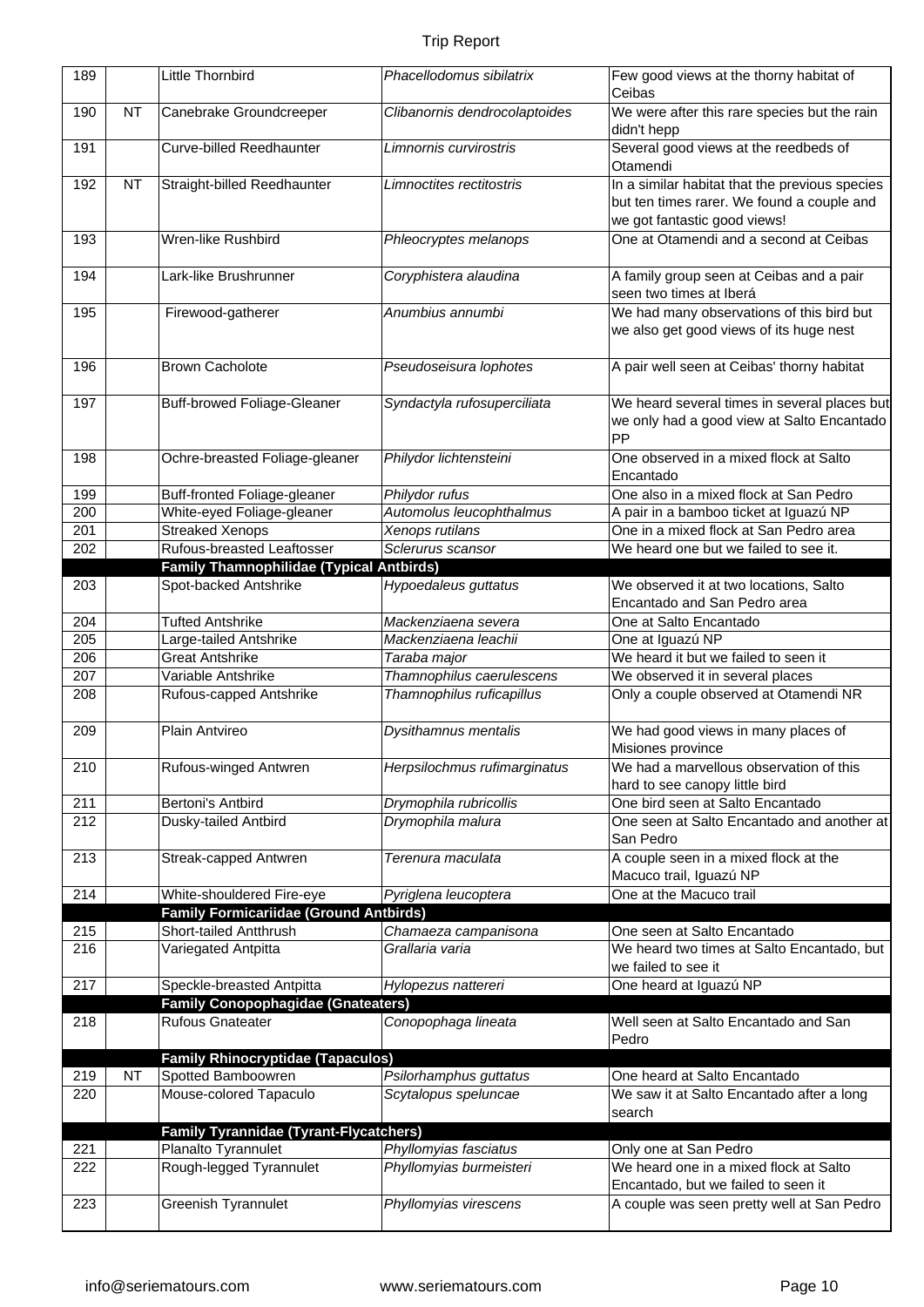| 189        |           | Little Thornbird                                                              | Phacellodomus sibilatrix                    | Few good views at the thorny habitat of<br>Ceibas                                    |
|------------|-----------|-------------------------------------------------------------------------------|---------------------------------------------|--------------------------------------------------------------------------------------|
| 190        | <b>NT</b> | Canebrake Groundcreeper                                                       | Clibanornis dendrocolaptoides               | We were after this rare species but the rain                                         |
|            |           |                                                                               |                                             | didn't hepp                                                                          |
| 191        |           | <b>Curve-billed Reedhaunter</b>                                               | Limnornis curvirostris                      | Several good views at the reedbeds of<br>Otamendi                                    |
| 192        | <b>NT</b> | Straight-billed Reedhaunter                                                   | Limnoctites rectitostris                    | In a similar habitat that the previous species                                       |
|            |           |                                                                               |                                             | but ten times rarer. We found a couple and                                           |
|            |           |                                                                               |                                             | we got fantastic good views!                                                         |
| 193        |           | Wren-like Rushbird                                                            | Phleocryptes melanops                       | One at Otamendi and a second at Ceibas                                               |
| 194        |           | Lark-like Brushrunner                                                         | Coryphistera alaudina                       | A family group seen at Ceibas and a pair<br>seen two times at Iberá                  |
| 195        |           | Firewood-gatherer                                                             | Anumbius annumbi                            | We had many observations of this bird but<br>we also get good views of its huge nest |
| 196        |           | <b>Brown Cacholote</b>                                                        | Pseudoseisura lophotes                      | A pair well seen at Ceibas' thorny habitat                                           |
| 197        |           | <b>Buff-browed Foliage-Gleaner</b>                                            | Syndactyla rufosuperciliata                 | We heard several times in several places but                                         |
|            |           |                                                                               |                                             | we only had a good view at Salto Encantado                                           |
|            |           |                                                                               |                                             | PP                                                                                   |
| 198        |           | Ochre-breasted Foliage-gleaner                                                | Philydor lichtensteini                      | One observed in a mixed flock at Salto<br>Encantado                                  |
| 199        |           | Buff-fronted Foliage-gleaner                                                  | Philydor rufus                              | One also in a mixed flock at San Pedro                                               |
| 200        |           | White-eyed Foliage-gleaner                                                    | Automolus leucophthalmus                    | A pair in a bamboo ticket at Iguazú NP                                               |
| 201        |           | <b>Streaked Xenops</b>                                                        | Xenops rutilans                             | One in a mixed flock at San Pedro area                                               |
| 202        |           | Rufous-breasted Leaftosser<br><b>Family Thamnophilidae (Typical Antbirds)</b> | Sclerurus scansor                           | We heard one but we failed to see it.                                                |
| 203        |           | Spot-backed Antshrike                                                         | Hypoedaleus guttatus                        | We observed it at two locations, Salto                                               |
|            |           |                                                                               |                                             | Encantado and San Pedro area                                                         |
| 204        |           | <b>Tufted Antshrike</b>                                                       | Mackenziaena severa                         | One at Salto Encantado                                                               |
| 205        |           | Large-tailed Antshrike                                                        | Mackenziaena leachii                        | One at Iguazú NP                                                                     |
| 206        |           | <b>Great Antshrike</b>                                                        | Taraba major                                | We heard it but we failed to seen it                                                 |
| 207        |           | Variable Antshrike                                                            | Thamnophilus caerulescens                   | We observed it in several places                                                     |
| 208        |           | Rufous-capped Antshrike                                                       | Thamnophilus ruficapillus                   | Only a couple observed at Otamendi NR                                                |
| 209        |           | Plain Antvireo                                                                | Dysithamnus mentalis                        | We had good views in many places of<br>Misiones province                             |
| 210        |           | Rufous-winged Antwren                                                         | Herpsilochmus rufimarginatus                | We had a marvellous observation of this                                              |
|            |           |                                                                               |                                             | hard to see canopy little bird                                                       |
| 211<br>212 |           | Bertoni's Antbird<br>Dusky-tailed Antbird                                     | Drymophila rubricollis<br>Drymophila malura | One bird seen at Salto Encantado<br>One seen at Salto Encantado and another at       |
|            |           |                                                                               |                                             | San Pedro                                                                            |
| 213        |           | Streak-capped Antwren                                                         | Terenura maculata                           | A couple seen in a mixed flock at the                                                |
|            |           |                                                                               |                                             | Macuco trail, Iguazú NP                                                              |
| 214        |           | White-shouldered Fire-eye                                                     | Pyriglena leucoptera                        | One at the Macuco trail                                                              |
|            |           | <b>Family Formicariidae (Ground Antbirds)</b>                                 |                                             |                                                                                      |
| 215        |           | Short-tailed Antthrush                                                        | Chamaeza campanisona                        | One seen at Salto Encantado                                                          |
| 216        |           | Variegated Antpitta                                                           | Grallaria varia                             | We heard two times at Salto Encantado, but<br>we failed to see it                    |
| 217        |           | Speckle-breasted Antpitta                                                     | Hylopezus nattereri                         | One heard at Iguazú NP                                                               |
|            |           | <b>Family Conopophagidae (Gnateaters)</b>                                     |                                             |                                                                                      |
| 218        |           | <b>Rufous Gnateater</b>                                                       | Conopophaga lineata                         | Well seen at Salto Encantado and San<br>Pedro                                        |
|            |           | <b>Family Rhinocryptidae (Tapaculos)</b>                                      |                                             |                                                                                      |
| 219        | <b>NT</b> | Spotted Bamboowren                                                            | Psilorhamphus guttatus                      | One heard at Salto Encantado                                                         |
| 220        |           | Mouse-colored Tapaculo                                                        | Scytalopus speluncae                        | We saw it at Salto Encantado after a long<br>search                                  |
|            |           | <b>Family Tyrannidae (Tyrant-Flycatchers)</b>                                 |                                             |                                                                                      |
| 221        |           | Planalto Tyrannulet                                                           | Phyllomyias fasciatus                       | Only one at San Pedro                                                                |
| 222        |           | Rough-legged Tyrannulet                                                       | Phyllomyias burmeisteri                     | We heard one in a mixed flock at Salto                                               |
| 223        |           | Greenish Tyrannulet                                                           | Phyllomyias virescens                       | Encantado, but we failed to seen it<br>A couple was seen pretty well at San Pedro    |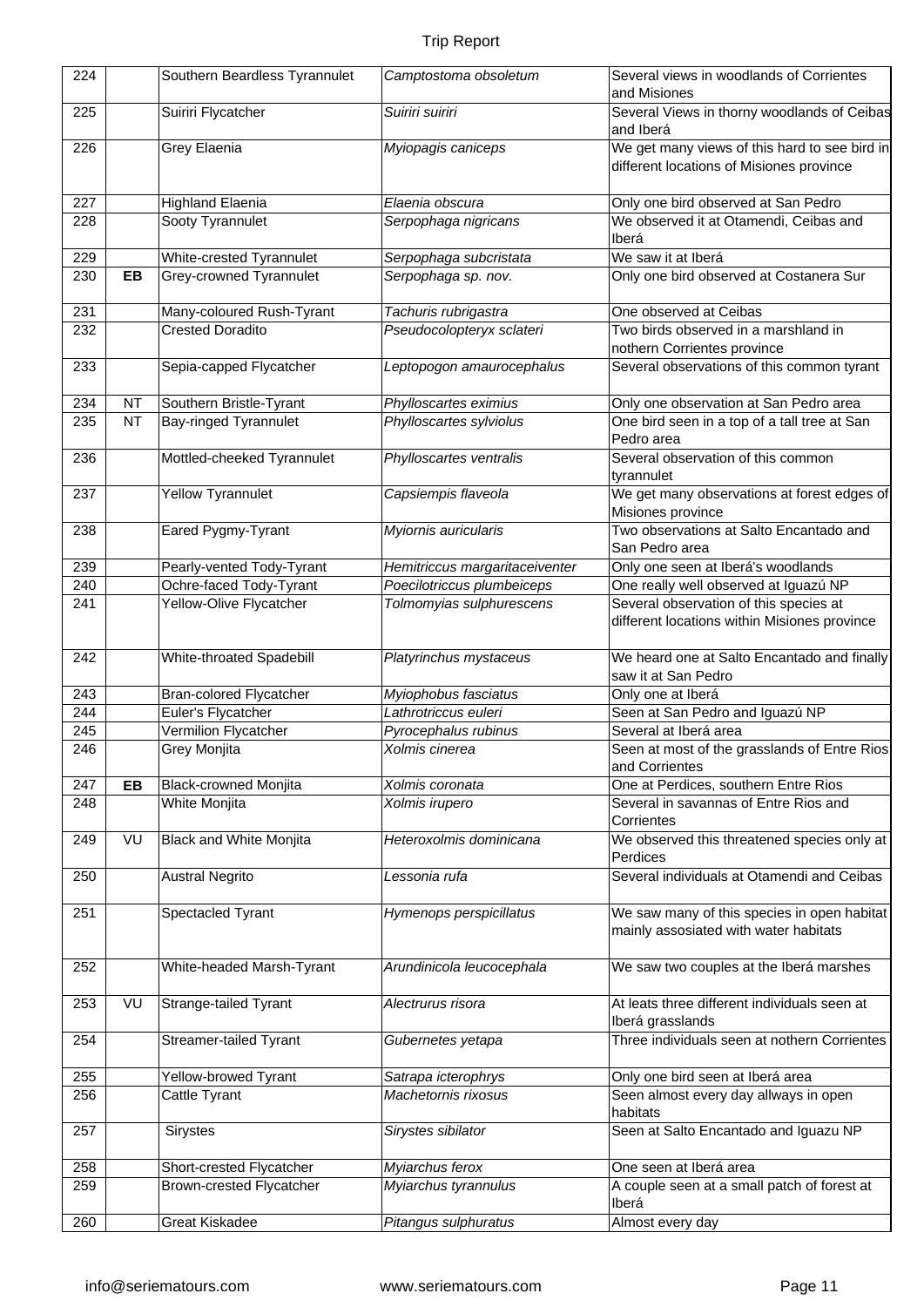| 224 |           | Southern Beardless Tyrannulet   | Camptostoma obsoletum          | Several views in woodlands of Corrientes<br>and Misiones                                  |
|-----|-----------|---------------------------------|--------------------------------|-------------------------------------------------------------------------------------------|
| 225 |           | Suiriri Flycatcher              | Suiriri suiriri                | Several Views in thorny woodlands of Ceibas<br>and Iberá                                  |
| 226 |           | Grey Elaenia                    | Myiopagis caniceps             | We get many views of this hard to see bird in<br>different locations of Misiones province |
| 227 |           | <b>Highland Elaenia</b>         | Elaenia obscura                | Only one bird observed at San Pedro                                                       |
| 228 |           | Sooty Tyrannulet                | Serpophaga nigricans           | We observed it at Otamendi, Ceibas and                                                    |
|     |           |                                 |                                | Iberá                                                                                     |
| 229 |           | White-crested Tyrannulet        | Serpophaga subcristata         | We saw it at Iberá                                                                        |
| 230 | EB        | Grey-crowned Tyrannulet         | Serpophaga sp. nov.            | Only one bird observed at Costanera Sur                                                   |
| 231 |           | Many-coloured Rush-Tyrant       | Tachuris rubrigastra           | One observed at Ceibas                                                                    |
| 232 |           | <b>Crested Doradito</b>         | Pseudocolopteryx sclateri      | Two birds observed in a marshland in                                                      |
|     |           |                                 |                                | nothern Corrientes province                                                               |
| 233 |           | Sepia-capped Flycatcher         | Leptopogon amaurocephalus      | Several observations of this common tyrant                                                |
| 234 | <b>NT</b> | Southern Bristle-Tyrant         | Phylloscartes eximius          | Only one observation at San Pedro area                                                    |
| 235 | <b>NT</b> | <b>Bay-ringed Tyrannulet</b>    | Phylloscartes sylviolus        | One bird seen in a top of a tall tree at San                                              |
|     |           |                                 |                                | Pedro area                                                                                |
| 236 |           | Mottled-cheeked Tyrannulet      | Phylloscartes ventralis        | Several observation of this common<br>tyrannulet                                          |
|     |           |                                 |                                |                                                                                           |
| 237 |           | <b>Yellow Tyrannulet</b>        | Capsiempis flaveola            | We get many observations at forest edges of<br>Misiones province                          |
|     |           |                                 |                                |                                                                                           |
| 238 |           | Eared Pygmy-Tyrant              | Myiornis auricularis           | Two observations at Salto Encantado and<br>San Pedro area                                 |
| 239 |           | Pearly-vented Tody-Tyrant       | Hemitriccus margaritaceiventer | Only one seen at Iberá's woodlands                                                        |
| 240 |           | Ochre-faced Tody-Tyrant         | Poecilotriccus plumbeiceps     | One really well observed at Iguazú NP                                                     |
| 241 |           | Yellow-Olive Flycatcher         | Tolmomyias sulphurescens       | Several observation of this species at                                                    |
|     |           |                                 |                                | different locations within Misiones province                                              |
|     |           |                                 |                                |                                                                                           |
| 242 |           | White-throated Spadebill        | Platyrinchus mystaceus         | We heard one at Salto Encantado and finally                                               |
|     |           |                                 |                                | saw it at San Pedro                                                                       |
| 243 |           | <b>Bran-colored Flycatcher</b>  | Myiophobus fasciatus           | Only one at Iberá                                                                         |
| 244 |           | Euler's Flycatcher              | Lathrotriccus euleri           | Seen at San Pedro and Iguazú NP                                                           |
| 245 |           | Vermilion Flycatcher            | Pyrocephalus rubinus           | Several at Iberá area                                                                     |
| 246 |           | Grey Monjita                    | Xolmis cinerea                 | Seen at most of the grasslands of Entre Rios                                              |
|     |           |                                 |                                | and Corrientes                                                                            |
| 247 | EB        | <b>Black-crowned Monjita</b>    | Xolmis coronata                | One at Perdices, southern Entre Rios                                                      |
| 248 |           | White Monjita                   | Xolmis irupero                 | Several in savannas of Entre Rios and                                                     |
|     |           |                                 |                                | Corrientes                                                                                |
| 249 | VU        | <b>Black and White Monjita</b>  | Heteroxolmis dominicana        | We observed this threatened species only at                                               |
|     |           |                                 |                                | Perdices                                                                                  |
| 250 |           | <b>Austral Negrito</b>          | Lessonia rufa                  | Several individuals at Otamendi and Ceibas                                                |
|     |           |                                 |                                |                                                                                           |
| 251 |           | Spectacled Tyrant               | Hymenops perspicillatus        | We saw many of this species in open habitat                                               |
|     |           |                                 |                                | mainly assosiated with water habitats                                                     |
|     |           |                                 |                                |                                                                                           |
| 252 |           | White-headed Marsh-Tyrant       | Arundinicola leucocephala      | We saw two couples at the Iberá marshes                                                   |
|     |           |                                 |                                |                                                                                           |
| 253 | VU        | Strange-tailed Tyrant           | Alectrurus risora              | At leats three different individuals seen at                                              |
|     |           |                                 |                                | Iberá grasslands                                                                          |
| 254 |           | Streamer-tailed Tyrant          | Gubernetes yetapa              | Three individuals seen at nothern Corrientes                                              |
|     |           |                                 |                                |                                                                                           |
| 255 |           | Yellow-browed Tyrant            | Satrapa icterophrys            | Only one bird seen at Iberá area                                                          |
| 256 |           | Cattle Tyrant                   | Machetornis rixosus            | Seen almost every day allways in open                                                     |
|     |           |                                 |                                | habitats                                                                                  |
| 257 |           | Sirystes                        | Sirystes sibilator             | Seen at Salto Encantado and Iguazu NP                                                     |
|     |           |                                 |                                |                                                                                           |
| 258 |           | Short-crested Flycatcher        | Myiarchus ferox                | One seen at Iberá area                                                                    |
| 259 |           | <b>Brown-crested Flycatcher</b> | Myiarchus tyrannulus           | A couple seen at a small patch of forest at                                               |
|     |           |                                 |                                | Iberá                                                                                     |
| 260 |           | <b>Great Kiskadee</b>           | Pitangus sulphuratus           | Almost every day                                                                          |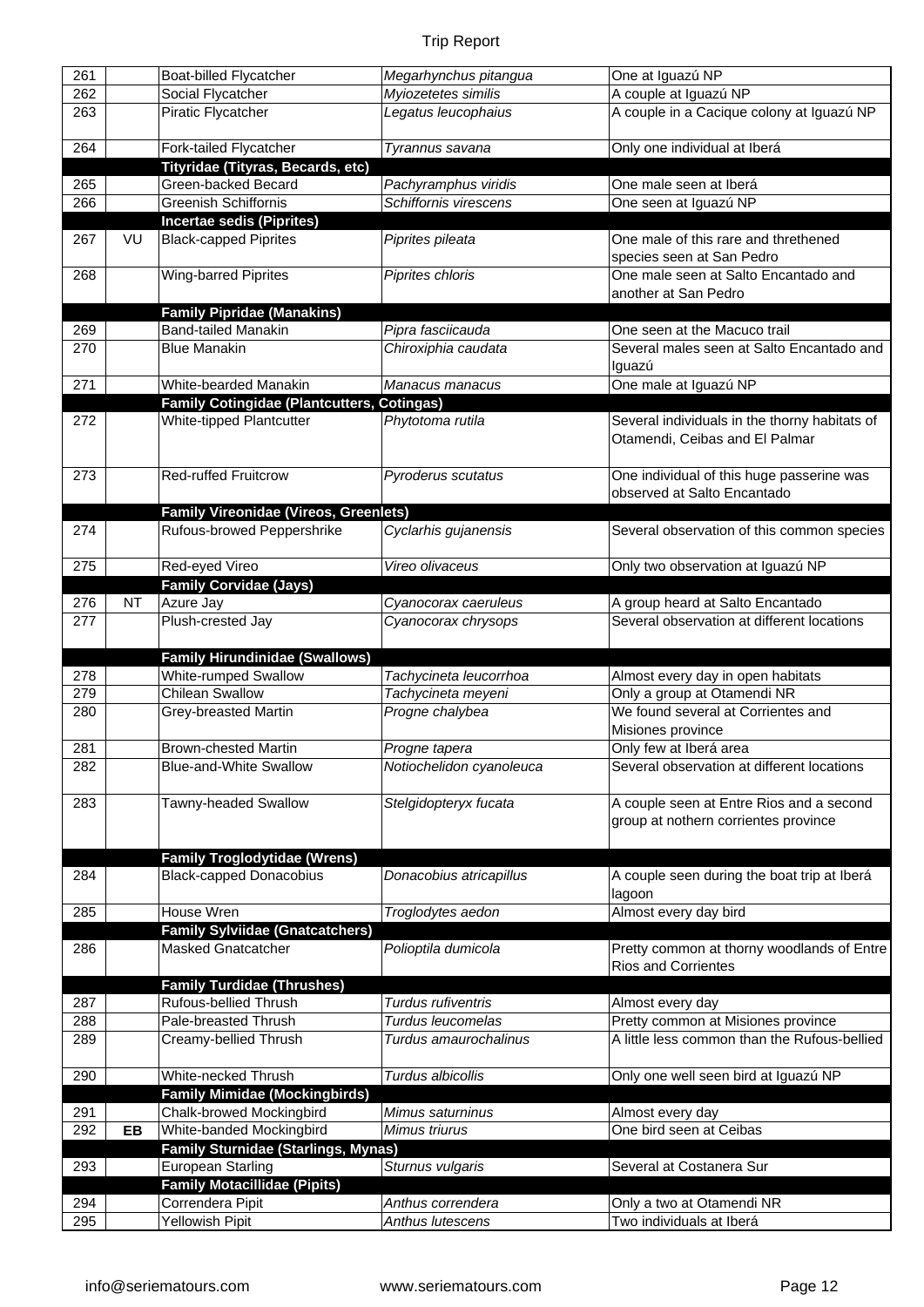| 261        |           | <b>Boat-billed Flycatcher</b>                                    | Megarhynchus pitangua    | One at Iguazú NP                                      |
|------------|-----------|------------------------------------------------------------------|--------------------------|-------------------------------------------------------|
| 262        |           | Social Flycatcher                                                | Myiozetetes similis      | A couple at Iguazú NP                                 |
| 263        |           | Piratic Flycatcher                                               | Legatus leucophaius      | A couple in a Cacique colony at Iguazú NP             |
|            |           |                                                                  |                          |                                                       |
| 264        |           | Fork-tailed Flycatcher                                           | Tyrannus savana          | Only one individual at Iberá                          |
|            |           | Tityridae (Tityras, Becards, etc)                                |                          |                                                       |
| 265        |           | Green-backed Becard                                              | Pachyramphus viridis     | One male seen at Iberá                                |
| 266        |           | <b>Greenish Schiffornis</b>                                      | Schiffornis virescens    | One seen at Iguazú NP                                 |
|            |           |                                                                  |                          |                                                       |
| 267        | VU        | <b>Incertae sedis (Piprites)</b><br><b>Black-capped Piprites</b> |                          | One male of this rare and threthened                  |
|            |           |                                                                  | Piprites pileata         |                                                       |
|            |           |                                                                  |                          | species seen at San Pedro                             |
| 268        |           | Wing-barred Piprites                                             | Piprites chloris         | One male seen at Salto Encantado and                  |
|            |           |                                                                  |                          | another at San Pedro                                  |
|            |           | <b>Family Pipridae (Manakins)</b>                                |                          |                                                       |
| 269        |           | <b>Band-tailed Manakin</b>                                       | Pipra fasciicauda        | One seen at the Macuco trail                          |
| 270        |           | <b>Blue Manakin</b>                                              | Chiroxiphia caudata      | Several males seen at Salto Encantado and             |
|            |           |                                                                  |                          | Iguazú                                                |
| 271        |           | White-bearded Manakin                                            | Manacus manacus          | One male at Iguazú NP                                 |
|            |           | <b>Family Cotingidae (Plantcutters, Cotingas)</b>                |                          |                                                       |
| 272        |           | White-tipped Plantcutter                                         | Phytotoma rutila         | Several individuals in the thorny habitats of         |
|            |           |                                                                  |                          | Otamendi, Ceibas and El Palmar                        |
|            |           |                                                                  |                          |                                                       |
| 273        |           | <b>Red-ruffed Fruitcrow</b>                                      | Pyroderus scutatus       | One individual of this huge passerine was             |
|            |           |                                                                  |                          | observed at Salto Encantado                           |
|            |           | <b>Family Vireonidae (Vireos, Greenlets)</b>                     |                          |                                                       |
| 274        |           | Rufous-browed Peppershrike                                       | Cyclarhis gujanensis     | Several observation of this common species            |
|            |           |                                                                  |                          |                                                       |
| 275        |           | Red-eyed Vireo                                                   | Vireo olivaceus          | Only two observation at Iguazú NP                     |
|            |           | <b>Family Corvidae (Jays)</b>                                    |                          |                                                       |
| 276        | <b>NT</b> | Azure Jay                                                        | Cyanocorax caeruleus     | A group heard at Salto Encantado                      |
| 277        |           | Plush-crested Jay                                                | Cyanocorax chrysops      | Several observation at different locations            |
|            |           |                                                                  |                          |                                                       |
|            |           |                                                                  |                          |                                                       |
|            |           |                                                                  |                          |                                                       |
|            |           | <b>Family Hirundinidae (Swallows)</b>                            |                          |                                                       |
| 278        |           | <b>White-rumped Swallow</b>                                      | Tachycineta leucorrhoa   | Almost every day in open habitats                     |
| 279        |           | <b>Chilean Swallow</b>                                           | Tachycineta meyeni       | Only a group at Otamendi NR                           |
| 280        |           | Grey-breasted Martin                                             | Progne chalybea          | We found several at Corrientes and                    |
|            |           |                                                                  |                          | Misiones province                                     |
| 281        |           | <b>Brown-chested Martin</b>                                      | Progne tapera            | Only few at Iberá area                                |
| 282        |           | <b>Blue-and-White Swallow</b>                                    | Notiochelidon cyanoleuca | Several observation at different locations            |
|            |           |                                                                  |                          |                                                       |
|            |           |                                                                  |                          |                                                       |
| 283        |           | Tawny-headed Swallow                                             | Stelgidopteryx fucata    | A couple seen at Entre Rios and a second              |
|            |           |                                                                  |                          | group at nothern corrientes province                  |
|            |           |                                                                  |                          |                                                       |
|            |           | <b>Family Troglodytidae (Wrens)</b>                              |                          |                                                       |
| 284        |           | <b>Black-capped Donacobius</b>                                   | Donacobius atricapillus  | A couple seen during the boat trip at Iberá           |
|            |           |                                                                  |                          | lagoon                                                |
| 285        |           | House Wren                                                       | Troglodytes aedon        | Almost every day bird                                 |
|            |           | <b>Family Sylviidae (Gnatcatchers)</b>                           |                          |                                                       |
| 286        |           | <b>Masked Gnatcatcher</b>                                        | Polioptila dumicola      |                                                       |
|            |           |                                                                  |                          | <b>Rios and Corrientes</b>                            |
|            |           |                                                                  |                          | Pretty common at thorny woodlands of Entre            |
|            |           | <b>Family Turdidae (Thrushes)</b>                                |                          |                                                       |
| 287        |           | Rufous-bellied Thrush                                            | Turdus rufiventris       | Almost every day                                      |
| 288        |           | Pale-breasted Thrush                                             | Turdus leucomelas        | Pretty common at Misiones province                    |
| 289        |           | Creamy-bellied Thrush                                            | Turdus amaurochalinus    | A little less common than the Rufous-bellied          |
|            |           |                                                                  |                          |                                                       |
| 290        |           | White-necked Thrush                                              | Turdus albicollis        | Only one well seen bird at Iguazú NP                  |
|            |           | <b>Family Mimidae (Mockingbirds)</b>                             |                          |                                                       |
| 291        |           | Chalk-browed Mockingbird                                         | Mimus saturninus         | Almost every day                                      |
| 292        | EB        | White-banded Mockingbird                                         | Mimus triurus            | One bird seen at Ceibas                               |
|            |           | Family Sturnidae (Starlings, Mynas)                              |                          |                                                       |
| 293        |           | European Starling                                                | Sturnus vulgaris         | Several at Costanera Sur                              |
|            |           |                                                                  |                          |                                                       |
|            |           | <b>Family Motacillidae (Pipits)</b>                              | Anthus correndera        |                                                       |
| 294<br>295 |           | Correndera Pipit<br>Yellowish Pipit                              | Anthus lutescens         | Only a two at Otamendi NR<br>Two individuals at Iberá |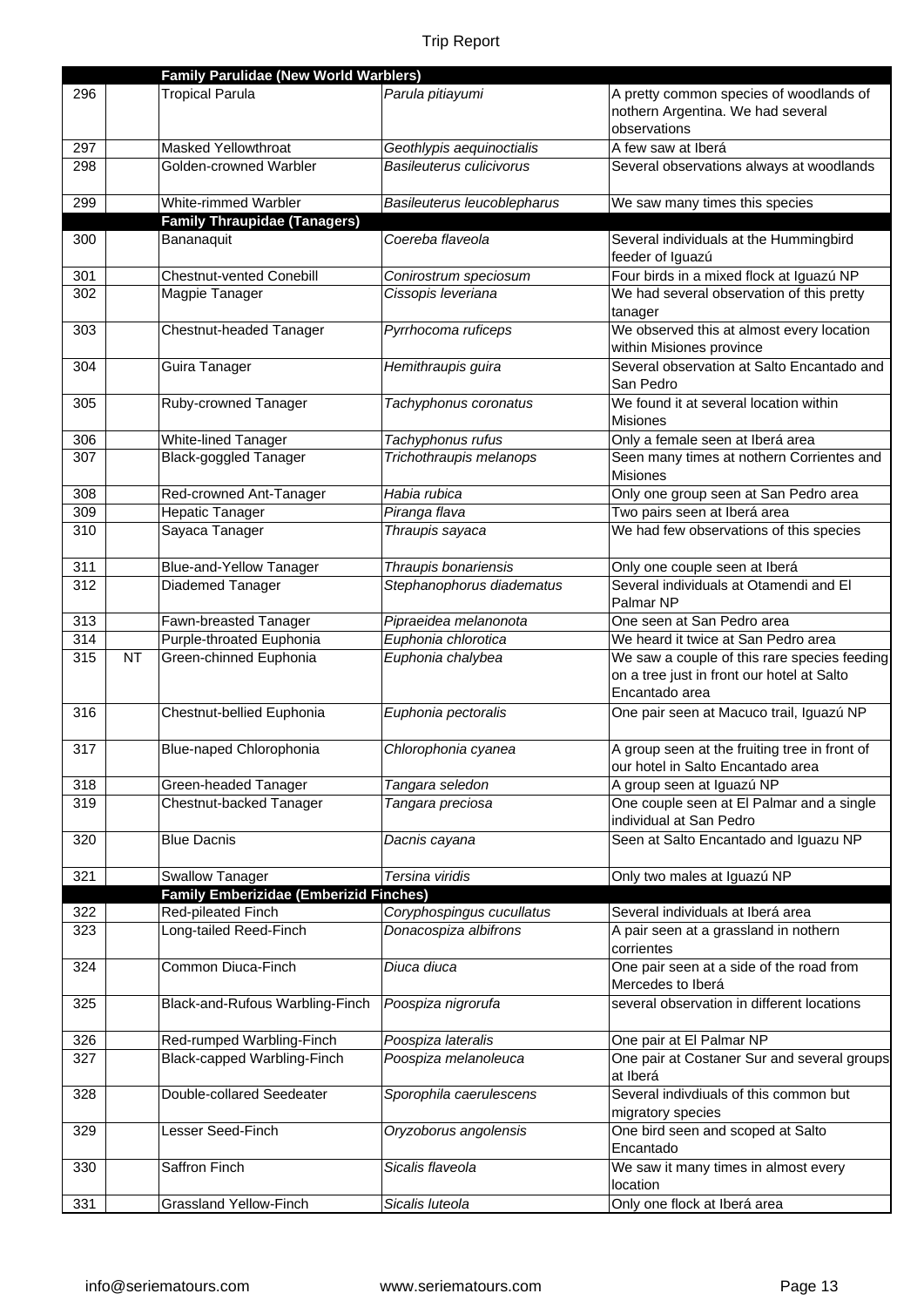|            |           | <b>Family Parulidae (New World Warblers)</b>       |                                                   |                                                                         |
|------------|-----------|----------------------------------------------------|---------------------------------------------------|-------------------------------------------------------------------------|
| 296        |           | <b>Tropical Parula</b>                             | Parula pitiayumi                                  | A pretty common species of woodlands of                                 |
|            |           |                                                    |                                                   | nothern Argentina. We had several                                       |
|            |           |                                                    |                                                   | observations                                                            |
| 297        |           | <b>Masked Yellowthroat</b>                         | Geothlypis aequinoctialis                         | A few saw at Iberá                                                      |
| 298        |           | Golden-crowned Warbler                             | Basileuterus culicivorus                          | Several observations always at woodlands                                |
|            |           |                                                    |                                                   |                                                                         |
| 299        |           | White-rimmed Warbler                               | Basileuterus leucoblepharus                       | We saw many times this species                                          |
|            |           | <b>Family Thraupidae (Tanagers)</b>                |                                                   |                                                                         |
| 300        |           | Bananaquit                                         | Coereba flaveola                                  | Several individuals at the Hummingbird                                  |
|            |           |                                                    |                                                   | feeder of Iguazú                                                        |
| 301        |           | <b>Chestnut-vented Conebill</b>                    | Conirostrum speciosum                             | Four birds in a mixed flock at Iguazú NP                                |
| 302        |           | Magpie Tanager                                     | Cissopis leveriana                                | We had several observation of this pretty                               |
|            |           |                                                    |                                                   | tanager                                                                 |
| 303        |           | Chestnut-headed Tanager                            | Pyrrhocoma ruficeps                               | We observed this at almost every location                               |
|            |           |                                                    |                                                   | within Misiones province                                                |
| 304        |           | Guira Tanager                                      | Hemithraupis guira                                | Several observation at Salto Encantado and                              |
|            |           |                                                    |                                                   | San Pedro                                                               |
| 305        |           | Ruby-crowned Tanager                               | Tachyphonus coronatus                             | We found it at several location within                                  |
|            |           |                                                    |                                                   | <b>Misiones</b>                                                         |
| 306        |           | White-lined Tanager                                | Tachyphonus rufus                                 | Only a female seen at Iberá area                                        |
| 307        |           | <b>Black-goggled Tanager</b>                       | Trichothraupis melanops                           | Seen many times at nothern Corrientes and                               |
|            |           |                                                    |                                                   | <b>Misiones</b>                                                         |
| 308        |           | Red-crowned Ant-Tanager                            | Habia rubica                                      | Only one group seen at San Pedro area                                   |
| 309        |           | <b>Hepatic Tanager</b>                             | Piranga flava                                     | Two pairs seen at Iberá area                                            |
| 310        |           | Sayaca Tanager                                     | Thraupis sayaca                                   | We had few observations of this species                                 |
|            |           |                                                    |                                                   |                                                                         |
| 311<br>312 |           | <b>Blue-and-Yellow Tanager</b><br>Diademed Tanager | Thraupis bonariensis<br>Stephanophorus diadematus | Only one couple seen at Iberá<br>Several individuals at Otamendi and El |
|            |           |                                                    |                                                   | Palmar NP                                                               |
| 313        |           | Fawn-breasted Tanager                              | Pipraeidea melanonota                             | One seen at San Pedro area                                              |
| 314        |           | Purple-throated Euphonia                           | Euphonia chlorotica                               | We heard it twice at San Pedro area                                     |
| 315        | <b>NT</b> | Green-chinned Euphonia                             | Euphonia chalybea                                 | We saw a couple of this rare species feeding                            |
|            |           |                                                    |                                                   | on a tree just in front our hotel at Salto                              |
|            |           |                                                    |                                                   | Encantado area                                                          |
| 316        |           | Chestnut-bellied Euphonia                          | Euphonia pectoralis                               | One pair seen at Macuco trail, Iguazú NP                                |
|            |           |                                                    |                                                   |                                                                         |
| 317        |           | Blue-naped Chlorophonia                            | Chlorophonia cyanea                               | A group seen at the fruiting tree in front of                           |
|            |           |                                                    |                                                   | our hotel in Salto Encantado area                                       |
| 318        |           | Green-headed Tanager                               | Tangara seledon                                   | A group seen at Iguazú NP                                               |
| 319        |           | Chestnut-backed Tanager                            | Tangara preciosa                                  | One couple seen at El Palmar and a single                               |
|            |           |                                                    |                                                   | individual at San Pedro                                                 |
| 320        |           | <b>Blue Dacnis</b>                                 | Dacnis cayana                                     | Seen at Salto Encantado and Iguazu NP                                   |
|            |           |                                                    |                                                   |                                                                         |
| 321        |           | <b>Swallow Tanager</b>                             | Tersina viridis                                   | Only two males at Iguazú NP                                             |
|            |           | <b>Family Emberizidae (Emberizid Finches)</b>      |                                                   |                                                                         |
| 322        |           | Red-pileated Finch                                 | Coryphospingus cucullatus                         | Several individuals at Iberá area                                       |
| 323        |           | Long-tailed Reed-Finch                             | Donacospiza albifrons                             | A pair seen at a grassland in nothern                                   |
|            |           |                                                    |                                                   | corrientes                                                              |
| 324        |           | Common Diuca-Finch                                 | Diuca diuca                                       | One pair seen at a side of the road from                                |
|            |           |                                                    |                                                   | Mercedes to Iberá                                                       |
| 325        |           | Black-and-Rufous Warbling-Finch                    | Poospiza nigrorufa                                | several observation in different locations                              |
|            |           |                                                    |                                                   |                                                                         |
| 326        |           | Red-rumped Warbling-Finch                          | Poospiza lateralis                                | One pair at El Palmar NP                                                |
| 327        |           | Black-capped Warbling-Finch                        | Poospiza melanoleuca                              | One pair at Costaner Sur and several groups<br>at Iberá                 |
| 328        |           | Double-collared Seedeater                          | Sporophila caerulescens                           | Several indivdiuals of this common but                                  |
|            |           |                                                    |                                                   | migratory species                                                       |
| 329        |           | Lesser Seed-Finch                                  | Oryzoborus angolensis                             | One bird seen and scoped at Salto                                       |
|            |           |                                                    |                                                   | Encantado                                                               |
| 330        |           | Saffron Finch                                      | Sicalis flaveola                                  | We saw it many times in almost every                                    |
|            |           |                                                    |                                                   | location                                                                |
| 331        |           | <b>Grassland Yellow-Finch</b>                      | Sicalis luteola                                   | Only one flock at Iberá area                                            |
|            |           |                                                    |                                                   |                                                                         |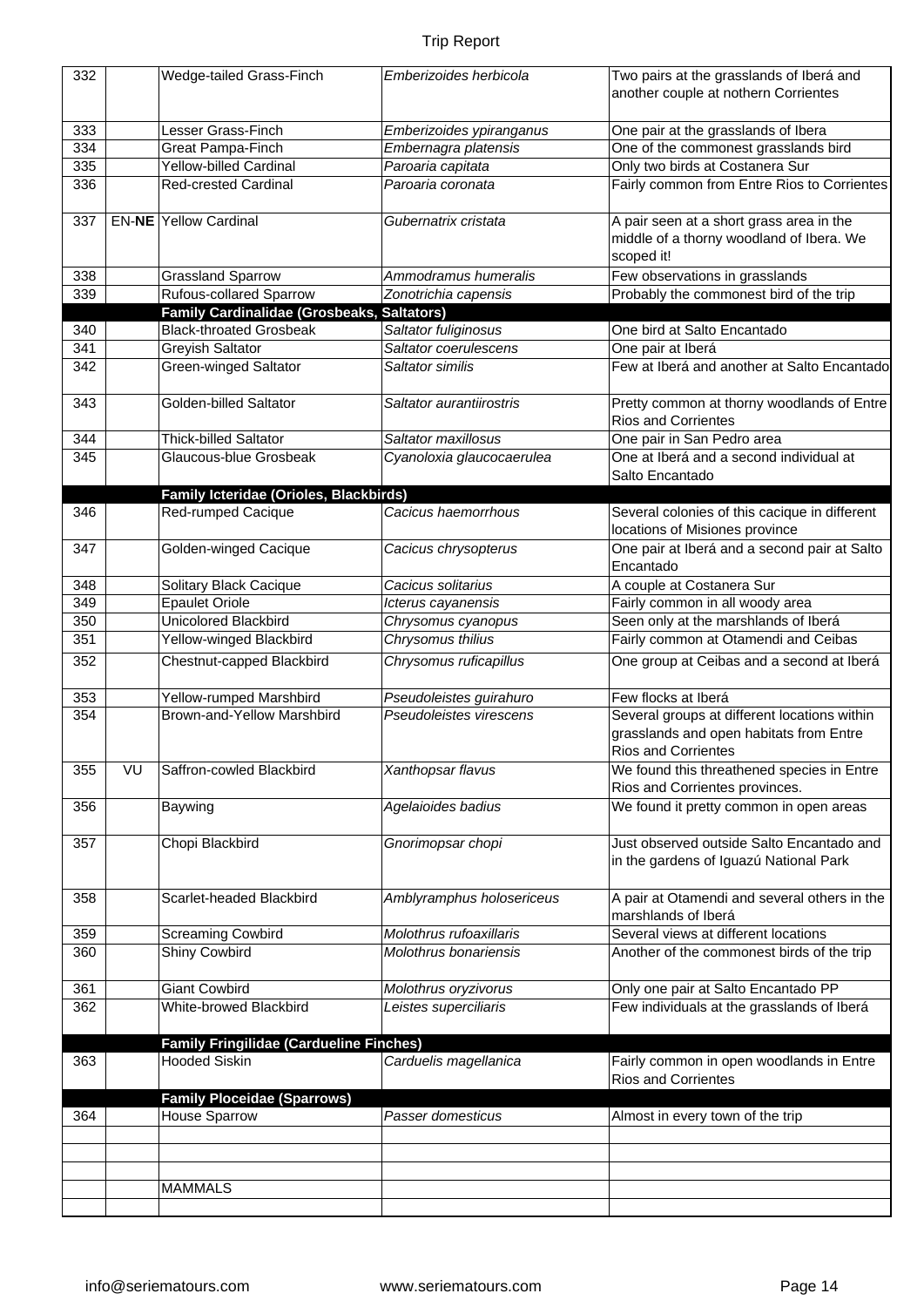| 332 |    | Wedge-tailed Grass-Finch                          | Emberizoides herbicola    | Two pairs at the grasslands of Iberá and<br>another couple at nothern Corrientes                                      |
|-----|----|---------------------------------------------------|---------------------------|-----------------------------------------------------------------------------------------------------------------------|
|     |    |                                                   |                           |                                                                                                                       |
| 333 |    | Lesser Grass-Finch                                | Emberizoides ypiranganus  | One pair at the grasslands of Ibera                                                                                   |
| 334 |    | Great Pampa-Finch                                 | Embernagra platensis      | One of the commonest grasslands bird                                                                                  |
| 335 |    | <b>Yellow-billed Cardinal</b>                     | Paroaria capitata         | Only two birds at Costanera Sur                                                                                       |
| 336 |    | <b>Red-crested Cardinal</b>                       | Paroaria coronata         | Fairly common from Entre Rios to Corrientes                                                                           |
| 337 |    | <b>EN-NE Yellow Cardinal</b>                      | Gubernatrix cristata      | A pair seen at a short grass area in the<br>middle of a thorny woodland of Ibera. We                                  |
|     |    |                                                   |                           | scoped it!                                                                                                            |
| 338 |    | <b>Grassland Sparrow</b>                          | Ammodramus humeralis      | Few observations in grasslands                                                                                        |
| 339 |    | <b>Rufous-collared Sparrow</b>                    | Zonotrichia capensis      | Probably the commonest bird of the trip                                                                               |
|     |    | <b>Family Cardinalidae (Grosbeaks, Saltators)</b> |                           |                                                                                                                       |
| 340 |    | <b>Black-throated Grosbeak</b>                    | Saltator fuliginosus      | One bird at Salto Encantado                                                                                           |
| 341 |    | Greyish Saltator                                  | Saltator coerulescens     | One pair at Iberá                                                                                                     |
| 342 |    | Green-winged Saltator                             | Saltator similis          | Few at Iberá and another at Salto Encantado                                                                           |
| 343 |    | Golden-billed Saltator                            | Saltator aurantiirostris  | Pretty common at thorny woodlands of Entre<br><b>Rios and Corrientes</b>                                              |
| 344 |    | <b>Thick-billed Saltator</b>                      | Saltator maxillosus       | One pair in San Pedro area                                                                                            |
| 345 |    | Glaucous-blue Grosbeak                            | Cyanoloxia glaucocaerulea | One at Iberá and a second individual at                                                                               |
|     |    |                                                   |                           | Salto Encantado                                                                                                       |
|     |    | Family Icteridae (Orioles, Blackbirds)            |                           |                                                                                                                       |
| 346 |    | Red-rumped Cacique                                | Cacicus haemorrhous       | Several colonies of this cacique in different<br>locations of Misiones province                                       |
| 347 |    | Golden-winged Cacique                             | Cacicus chrysopterus      | One pair at Iberá and a second pair at Salto<br>Encantado                                                             |
| 348 |    | Solitary Black Cacique                            | Cacicus solitarius        | A couple at Costanera Sur                                                                                             |
| 349 |    | <b>Epaulet Oriole</b>                             | Icterus cayanensis        | Fairly common in all woody area                                                                                       |
| 350 |    | <b>Unicolored Blackbird</b>                       | Chrysomus cyanopus        | Seen only at the marshlands of Iberá                                                                                  |
| 351 |    | Yellow-winged Blackbird                           | Chrysomus thilius         | Fairly common at Otamendi and Ceibas                                                                                  |
| 352 |    | Chestnut-capped Blackbird                         | Chrysomus ruficapillus    | One group at Ceibas and a second at Iberá                                                                             |
|     |    |                                                   |                           |                                                                                                                       |
| 353 |    | Yellow-rumped Marshbird                           | Pseudoleistes guirahuro   | Few flocks at Iberá                                                                                                   |
| 354 |    | Brown-and-Yellow Marshbird                        | Pseudoleistes virescens   | Several groups at different locations within<br>grasslands and open habitats from Entre<br><b>Rios and Corrientes</b> |
| 355 | VU | Saffron-cowled Blackbird                          | Xanthopsar flavus         | We found this threathened species in Entre<br>Rios and Corrientes provinces.                                          |
| 356 |    | Baywing                                           | Agelaioides badius        | We found it pretty common in open areas                                                                               |
| 357 |    | Chopi Blackbird                                   | Gnorimopsar chopi         | Just observed outside Salto Encantado and<br>in the gardens of Iguazú National Park                                   |
| 358 |    | Scarlet-headed Blackbird                          | Amblyramphus holosericeus | A pair at Otamendi and several others in the<br>marshlands of Iberá                                                   |
| 359 |    | <b>Screaming Cowbird</b>                          | Molothrus rufoaxillaris   | Several views at different locations                                                                                  |
| 360 |    | Shiny Cowbird                                     | Molothrus bonariensis     | Another of the commonest birds of the trip                                                                            |
| 361 |    | <b>Giant Cowbird</b>                              | Molothrus oryzivorus      | Only one pair at Salto Encantado PP                                                                                   |
| 362 |    | White-browed Blackbird                            | Leistes superciliaris     | Few individuals at the grasslands of Iberá                                                                            |
|     |    | <b>Family Fringilidae (Cardueline Finches)</b>    |                           |                                                                                                                       |
| 363 |    | <b>Hooded Siskin</b>                              | Carduelis magellanica     | Fairly common in open woodlands in Entre                                                                              |
|     |    |                                                   |                           | <b>Rios and Corrientes</b>                                                                                            |
|     |    | <b>Family Ploceidae (Sparrows)</b>                |                           |                                                                                                                       |
| 364 |    | <b>House Sparrow</b>                              | Passer domesticus         | Almost in every town of the trip                                                                                      |
|     |    |                                                   |                           |                                                                                                                       |
|     |    |                                                   |                           |                                                                                                                       |
|     |    |                                                   |                           |                                                                                                                       |
|     |    | <b>MAMMALS</b>                                    |                           |                                                                                                                       |
|     |    |                                                   |                           |                                                                                                                       |